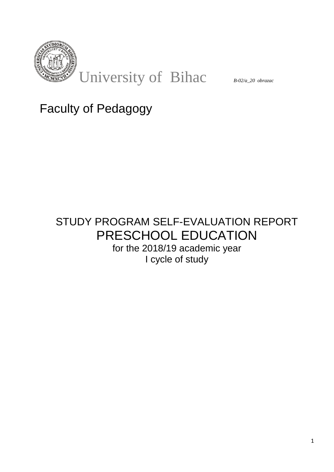

# Faculty of Pedagogy

## STUDY PROGRAM SELF-EVALUATION REPORT PRESCHOOL EDUCATION for the 2018/19 academic year I cycle of study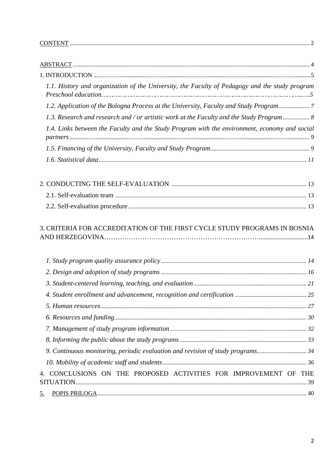| 1.1. History and organization of the University, the Faculty of Pedagogy and the study program |  |
|------------------------------------------------------------------------------------------------|--|
| 1.2. Application of the Bologna Process at the University, Faculty and Study Program           |  |
| 1.3. Research and research and / or artistic work at the Faculty and the Study Program  8      |  |
| 1.4. Links between the Faculty and the Study Program with the environment, economy and social  |  |
|                                                                                                |  |
|                                                                                                |  |
|                                                                                                |  |
|                                                                                                |  |
|                                                                                                |  |
| 3. CRITERIA FOR ACCREDITATION OF THE FIRST CYCLE STUDY PROGRAMS IN BOSNIA                      |  |
|                                                                                                |  |
|                                                                                                |  |
|                                                                                                |  |
|                                                                                                |  |
|                                                                                                |  |
|                                                                                                |  |
|                                                                                                |  |
|                                                                                                |  |
| 9. Continuous monitoring, periodic evaluation and revision of study programs34                 |  |
|                                                                                                |  |
| 4. CONCLUSIONS ON THE PROPOSED ACTIVITIES FOR IMPROVEMENT OF THE                               |  |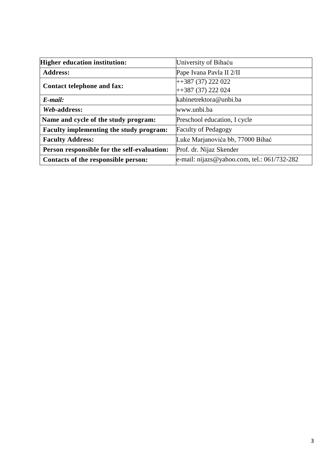| <b>Higher education institution:</b>           | University of Bihaću                        |
|------------------------------------------------|---------------------------------------------|
| <b>Address:</b>                                | Pape Ivana Pavla II 2/II                    |
| <b>Contact telephone and fax:</b>              | $+387(37)222022$                            |
|                                                | $+387(37)222024$                            |
| $E$ -mail:                                     | kabinetrektora@unbi.ba                      |
| Web-address:                                   | www.unbi.ba                                 |
| Name and cycle of the study program:           | Preschool education, I cycle                |
| <b>Faculty implementing the study program:</b> | <b>Faculty of Pedagogy</b>                  |
| <b>Faculty Address:</b>                        | Luke Marjanovića bb, 77000 Bihać            |
| Person responsible for the self-evaluation:    | Prof. dr. Nijaz Skender                     |
| Contacts of the responsible person:            | e-mail: nijazs@yahoo.com, tel.: 061/732-282 |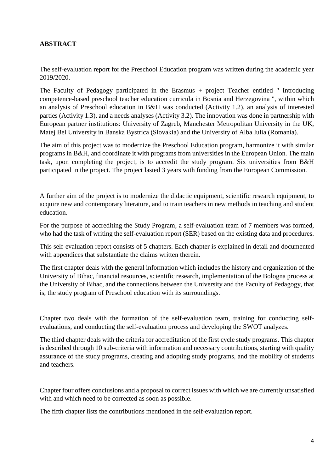## **ABSTRACT**

The self-evaluation report for the Preschool Education program was written during the academic year 2019/2020.

The Faculty of Pedagogy participated in the Erasmus + project Teacher entitled " Introducing competence-based preschool teacher education curricula in Bosnia and Herzegovina ", within which an analysis of Preschool education in B&H was conducted (Activity 1.2), an analysis of interested parties (Activity 1.3), and a needs analyses (Activity 3.2). The innovation was done in partnership with European partner institutions: University of Zagreb, Manchester Metropolitan University in the UK, Matej Bel University in Banska Bystrica (Slovakia) and the University of Alba Iulia (Romania).

The aim of this project was to modernize the Preschool Education program, harmonize it with similar programs in B&H, and coordinate it with programs from universities in the European Union. The main task, upon completing the project, is to accredit the study program. Six universities from B&H participated in the project. The project lasted 3 years with funding from the European Commission.

A further aim of the project is to modernize the didactic equipment, scientific research equipment, to acquire new and contemporary literature, and to train teachers in new methods in teaching and student education.

For the purpose of accrediting the Study Program, a self-evaluation team of 7 members was formed, who had the task of writing the self-evaluation report (SER) based on the existing data and procedures.

This self-evaluation report consists of 5 chapters. Each chapter is explained in detail and documented with appendices that substantiate the claims written therein.

The first chapter deals with the general information which includes the history and organization of the University of Bihac, financial resources, scientific research, implementation of the Bologna process at the University of Bihac, and the connections between the University and the Faculty of Pedagogy, that is, the study program of Preschool education with its surroundings.

Chapter two deals with the formation of the self-evaluation team, training for conducting selfevaluations, and conducting the self-evaluation process and developing the SWOT analyzes.

The third chapter deals with the criteria for accreditation of the first cycle study programs. This chapter is described through 10 sub-criteria with information and necessary contributions, starting with quality assurance of the study programs, creating and adopting study programs, and the mobility of students and teachers.

Chapter four offers conclusions and a proposal to correct issues with which we are currently unsatisfied with and which need to be corrected as soon as possible.

The fifth chapter lists the contributions mentioned in the self-evaluation report.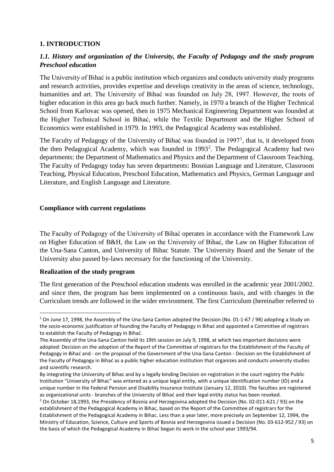#### **1. INTRODUCTION**

## *1.1. History and organization of the University, the Faculty of Pedagogy and the study program Preschool education*

The University of Bihać is a public institution which organizes and conducts university study programs and research activities, provides expertise and develops creativity in the areas of science, technology, humanities and art. The University of Bihać was founded on July 28, 1997. However, the roots of higher education in this area go back much further. Namely, in 1970 a branch of the Higher Technical School from Karlovac was opened, then in 1975 Mechanical Engineering Department was founded at the Higher Technical School in Bihać, while the Textile Department and the Higher School of Economics were established in 1979. In 1993, the Pedagogical Academy was established.

The Faculty of Pedagogy of the University of Bihać was founded in  $1997<sup>1</sup>$  $1997<sup>1</sup>$ , that is, it developed from the then Pedagogical Academy, which was founded in 1993<sup>[2](#page-4-1)</sup>. The Pedagogical Academy had two departments: the Department of Mathematics and Physics and the Department of Classroom Teaching. The Faculty of Pedagogy today has seven departments: Bosnian Language and Literature, Classroom Teaching, Physical Education, Preschool Education, Mathematics and Physics, German Language and Literature, and English Language and Literature.

#### **Compliance with current regulations**

The Faculty of Pedagogy of the University of Bihać operates in accordance with the Framework Law on Higher Education of B&H, the Law on the University of Bihać, the Law on Higher Education of the Una-Sana Canton, and University of Bihac Statute. The University Board and the Senate of the University also passed by-laws necessary for the functioning of the University.

#### **Realization of the study program**

The first generation of the Preschool education students was enrolled in the academic year 2001/2002. and since then, the program has been implemented on a continuous basis, and with changes in the Curriculum trends are followed in the wider environment. The first Curriculum (hereinafter referred to

<span id="page-4-0"></span> $1$  On June 17, 1998, the Assembly of the Una-Sana Canton adopted the Decision (No. 01-1-67 / 98) adopting a Study on the socio-economic justification of founding the Faculty of Pedagogy in Bihać and appointed a Committee of registrars to establish the Faculty of Pedagogy in Bihać.

The Assembly of the Una-Sana Canton held its 19th session on July 9, 1998, at which two important decisions were adopted: Decision on the adoption of the Report of the Committee of registrars for the Establishment of the Faculty of Pedagogy in Bihać and - on the proposal of the Government of the Una-Sana Canton - Decision on the Establishment of the Faculty of Pedagogy in Bihać as a public higher education institution that organizes and conducts university studies and scientific research.

By integrating the University of Bihac and by a legally binding Decision on registration in the court registry the Public Institution "University of Bihac" was entered as a unique legal entity, with a unique identification number (ID) and a unique number in the Federal Pension and Disability Insurance Institute (January 12, 2010). The faculties are registered as organizational units - branches of the University of Bihać and their legal entity status has been revoked.

<span id="page-4-1"></span><sup>&</sup>lt;sup>2</sup> On October 18,1993, the Presidency of Bosnia and Herzegovina adopted the Decision (No. 02-011-621 / 93) on the establishment of the Pedagogical Academy in Bihac, based on the Report of the Committee of registrars for the Establishment of the Pedagogical Academy in Bihac. Less than a year later, more precisely on September 12, 1994, the Ministry of Education, Science, Culture and Sports of Bosnia and Herzegovina issued a Decision (No. 03-612-952 / 93) on the basis of which the Pedagogical Academy in Bihać began its work in the school year 1993/94.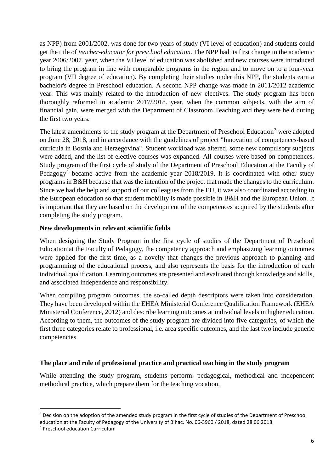as NPP) from 2001/2002. was done for two years of study (VI level of education) and students could get the title of *teacher-educator for preschool education*. The NPP had its first change in the academic year 2006/2007. year, when the VI level of education was abolished and new courses were introduced to bring the program in line with comparable programs in the region and to move on to a four-year program (VII degree of education). By completing their studies under this NPP, the students earn a bachelor's degree in Preschool education. A second NPP change was made in 2011/2012 academic year. This was mainly related to the introduction of new electives. The study program has been thoroughly reformed in academic 2017/2018. year, when the common subjects, with the aim of financial gain, were merged with the Department of Classroom Teaching and they were held during the first two years.

The latest amendments to the study program at the Department of Preschool Education<sup>[3](#page-5-0)</sup> were adopted on June 28, 2018, and in accordance with the guidelines of project "Innovation of competences-based curricula in Bosnia and Herzegovina". Student workload was altered, some new compulsory subjects were added, and the list of elective courses was expanded. All courses were based on competences. Study program of the first cycle of study of the Department of Preschool Education at the Faculty of Pedagogy<sup>[4](#page-5-1)</sup> became active from the academic year 2018/2019. It is coordinated with other study programs in B&H because that was the intention of the project that made the changes to the curriculum. Since we had the help and support of our colleagues from the EU, it was also coordinated according to the European education so that student mobility is made possible in B&H and the European Union. It is important that they are based on the development of the competences acquired by the students after completing the study program.

#### **New developments in relevant scientific fields**

When designing the Study Program in the first cycle of studies of the Department of Preschool Education at the Faculty of Pedagogy, the competency approach and emphasizing learning outcomes were applied for the first time, as a novelty that changes the previous approach to planning and programming of the educational process, and also represents the basis for the introduction of each individual qualification. Learning outcomes are presented and evaluated through knowledge and skills, and associated independence and responsibility.

When compiling program outcomes, the so-called depth descriptors were taken into consideration. They have been developed within the EHEA Ministerial Conference Qualification Framework (EHEA Ministerial Conference, 2012) and describe learning outcomes at individual levels in higher education. According to them, the outcomes of the study program are divided into five categories, of which the first three categories relate to professional, i.e. area specific outcomes, and the last two include generic competencies.

#### **The place and role of professional practice and practical teaching in the study program**

While attending the study program, students perform: pedagogical, methodical and independent methodical practice, which prepare them for the teaching vocation.

<span id="page-5-0"></span><sup>&</sup>lt;sup>3</sup> Decision on the adoption of the amended study program in the first cycle of studies of the Department of Preschool education at the Faculty of Pedagogy of the University of Bihac, No. 06-3960 / 2018, dated 28.06.2018.

<span id="page-5-1"></span><sup>4</sup> Preschool education Curriculum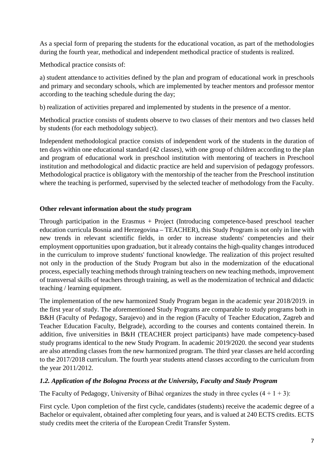As a special form of preparing the students for the educational vocation, as part of the methodologies during the fourth year, methodical and independent methodical practice of students is realized.

Methodical practice consists of:

a) student attendance to activities defined by the plan and program of educational work in preschools and primary and secondary schools, which are implemented by teacher mentors and professor mentor according to the teaching schedule during the day;

b) realization of activities prepared and implemented by students in the presence of a mentor.

Methodical practice consists of students observe to two classes of their mentors and two classes held by students (for each methodology subject).

Independent methodological practice consists of independent work of the students in the duration of ten days within one educational standard (42 classes), with one group of children according to the plan and program of educational work in preschool institution with mentoring of teachers in Preschool institution and methodological and didactic practice are held and supervision of pedagogy professors. Methodological practice is obligatory with the mentorship of the teacher from the Preschool institution where the teaching is performed, supervised by the selected teacher of methodology from the Faculty.

#### **Other relevant information about the study program**

Through participation in the Erasmus + Project (Introducing competence-based preschool teacher education curricula Bosnia and Herzegovina – TEACHER), this Study Program is not only in line with new trends in relevant scientific fields, in order to increase students' competencies and their employment opportunities upon graduation, but it already contains the high-quality changes introduced in the curriculum to improve students' functional knowledge. The realization of this project resulted not only in the production of the Study Program but also in the modernization of the educational process, especially teaching methods through training teachers on new teaching methods, improvement of transversal skills of teachers through training, as well as the modernization of technical and didactic teaching / learning equipment.

The implementation of the new harmonized Study Program began in the academic year 2018/2019. in the first year of study. The aforementioned Study Programs are comparable to study programs both in B&H (Faculty of Pedagogy, Sarajevo) and in the region (Faculty of Teacher Education, Zagreb and Teacher Education Faculty, Belgrade), according to the courses and contents contained therein. In addition, five universities in B&H (TEACHER project participants) have made competency-based study programs identical to the new Study Program. In academic 2019/2020. the second year students are also attending classes from the new harmonized program. The third year classes are held according to the 2017/2018 curriculum. The fourth year students attend classes according to the curriculum from the year 2011/2012.

## *1.2. Application of the Bologna Process at the University, Faculty and Study Program*

The Faculty of Pedagogy, University of Bihać organizes the study in three cycles  $(4 + 1 + 3)$ :

First cycle. Upon completion of the first cycle, candidates (students) receive the academic degree of a Bachelor or equivalent, obtained after completing four years, and is valued at 240 ECTS credits. ECTS study credits meet the criteria of the European Credit Transfer System.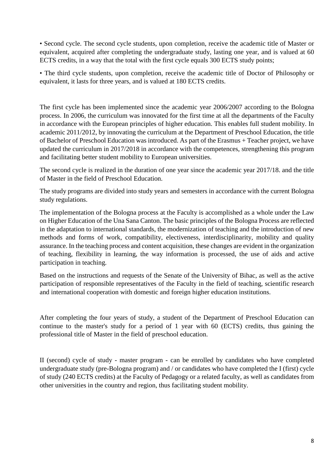• Second cycle. The second cycle students, upon completion, receive the academic title of Master or equivalent, acquired after completing the undergraduate study, lasting one year, and is valued at 60 ECTS credits, in a way that the total with the first cycle equals 300 ECTS study points;

• The third cycle students, upon completion, receive the academic title of Doctor of Philosophy or equivalent, it lasts for three years, and is valued at 180 ECTS credits.

The first cycle has been implemented since the academic year 2006/2007 according to the Bologna process. In 2006, the curriculum was innovated for the first time at all the departments of the Faculty in accordance with the European principles of higher education. This enables full student mobility. In academic 2011/2012, by innovating the curriculum at the Department of Preschool Education, the title of Bachelor of Preschool Education was introduced. As part of the Erasmus + Teacher project, we have updated the curriculum in 2017/2018 in accordance with the competences, strengthening this program and facilitating better student mobility to European universities.

The second cycle is realized in the duration of one year since the academic year 2017/18. and the title of Master in the field of Preschool Education.

The study programs are divided into study years and semesters in accordance with the current Bologna study regulations.

The implementation of the Bologna process at the Faculty is accomplished as a whole under the Law on Higher Education of the Una Sana Canton. The basic principles of the Bologna Process are reflected in the adaptation to international standards, the modernization of teaching and the introduction of new methods and forms of work, compatibility, electiveness, interdisciplinarity, mobility and quality assurance. In the teaching process and content acquisition, these changes are evident in the organization of teaching, flexibility in learning, the way information is processed, the use of aids and active participation in teaching.

Based on the instructions and requests of the Senate of the University of Bihac, as well as the active participation of responsible representatives of the Faculty in the field of teaching, scientific research and international cooperation with domestic and foreign higher education institutions.

After completing the four years of study, a student of the Department of Preschool Education can continue to the master's study for a period of 1 year with 60 (ECTS) credits, thus gaining the professional title of Master in the field of preschool education.

II (second) cycle of study - master program - can be enrolled by candidates who have completed undergraduate study (pre-Bologna program) and / or candidates who have completed the I (first) cycle of study (240 ECTS credits) at the Faculty of Pedagogy or a related faculty, as well as candidates from other universities in the country and region, thus facilitating student mobility.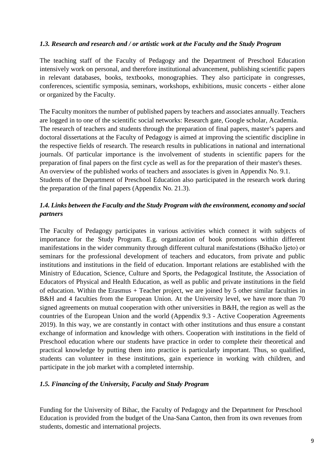#### *1.3. Research and research and / or artistic work at the Faculty and the Study Program*

The teaching staff of the Faculty of Pedagogy and the Department of Preschool Education intensively work on personal, and therefore institutional advancement, publishing scientific papers in relevant databases, books, textbooks, monographies. They also participate in congresses, conferences, scientific symposia, seminars, workshops, exhibitions, music concerts - either alone or organized by the Faculty.

The Faculty monitors the number of published papers by teachers and associates annually. Teachers are logged in to one of the scientific social networks: Research gate, Google scholar, Academia. The research of teachers and students through the preparation of final papers, master's papers and doctoral dissertations at the Faculty of Pedagogy is aimed at improving the scientific discipline in the respective fields of research. The research results in publications in national and international journals. Of particular importance is the involvement of students in scientific papers for the preparation of final papers on the first cycle as well as for the preparation of their master's theses. An overview of the published works of teachers and associates is given in Appendix No. 9.1. Students of the Department of Preschool Education also participated in the research work during the preparation of the final papers (Appendix No. 21.3).

#### *1.4. Links between the Faculty and the Study Program with the environment, economy and social partners*

The Faculty of Pedagogy participates in various activities which connect it with subjects of importance for the Study Program. E.g. organization of book promotions within different manifestations in the wider community through different cultural manifestations (Bihaćko ljeto) or seminars for the professional development of teachers and educators, from private and public institutions and institutions in the field of education. Important relations are established with the Ministry of Education, Science, Culture and Sports, the Pedagogical Institute, the Association of Educators of Physical and Health Education, as well as public and private institutions in the field of education. Within the Erasmus + Teacher project, we are joined by 5 other similar faculties in B&H and 4 faculties from the European Union. At the University level, we have more than 70 signed agreements on mutual cooperation with other universities in B&H, the region as well as the countries of the European Union and the world (Appendix 9.3 - Active Cooperation Agreements 2019). In this way, we are constantly in contact with other institutions and thus ensure a constant exchange of information and knowledge with others. Cooperation with institutions in the field of Preschool education where our students have practice in order to complete their theoretical and practical knowledge by putting them into practice is particularly important. Thus, so qualified, students can volunteer in these institutions, gain experience in working with children, and participate in the job market with a completed internship.

#### *1.5. Financing of the University, Faculty and Study Program*

Funding for the University of Bihac, the Faculty of Pedagogy and the Department for Preschool Education is provided from the budget of the Una-Sana Canton, then from its own revenues from students, domestic and international projects.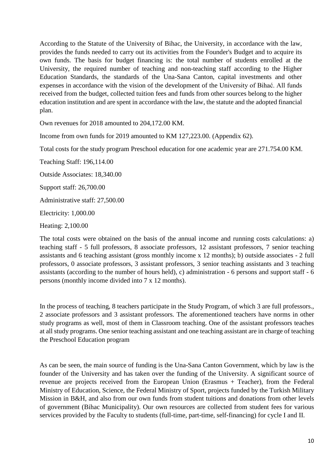According to the Statute of the University of Bihac, the University, in accordance with the law, provides the funds needed to carry out its activities from the Founder's Budget and to acquire its own funds. The basis for budget financing is: the total number of students enrolled at the University, the required number of teaching and non-teaching staff according to the Higher Education Standards, the standards of the Una-Sana Canton, capital investments and other expenses in accordance with the vision of the development of the University of Bihać. All funds received from the budget, collected tuition fees and funds from other sources belong to the higher education institution and are spent in accordance with the law, the statute and the adopted financial plan.

Own revenues for 2018 amounted to 204,172.00 KM.

Income from own funds for 2019 amounted to KM 127,223.00. (Appendix 62).

Total costs for the study program Preschool education for one academic year are 271.754.00 KM.

Teaching Staff: 196,114.00

Outside Associates: 18,340.00

Support staff: 26,700.00

Administrative staff: 27,500.00

Electricity: 1,000.00

Heating: 2,100.00

The total costs were obtained on the basis of the annual income and running costs calculations: a) teaching staff - 5 full professors, 8 associate professors, 12 assistant professors, 7 senior teaching assistants and 6 teaching assistant (gross monthly income x 12 months); b) outside associates - 2 full professors, 0 associate professors, 3 assistant professors, 3 senior teaching assistants and 3 teaching assistants (according to the number of hours held), c) administration - 6 persons and support staff - 6 persons (monthly income divided into 7 x 12 months).

In the process of teaching, 8 teachers participate in the Study Program, of which 3 are full professors., 2 associate professors and 3 assistant professors. The aforementioned teachers have norms in other study programs as well, most of them in Classroom teaching. One of the assistant professors teaches at all study programs. One senior teaching assistant and one teaching assistant are in charge of teaching the Preschool Education program

As can be seen, the main source of funding is the Una-Sana Canton Government, which by law is the founder of the University and has taken over the funding of the University. A significant source of revenue are projects received from the European Union (Erasmus + Teacher), from the Federal Ministry of Education, Science, the Federal Ministry of Sport, projects funded by the Turkish Military Mission in B&H, and also from our own funds from student tuitions and donations from other levels of government (Bihac Municipality). Our own resources are collected from student fees for various services provided by the Faculty to students (full-time, part-time, self-financing) for cycle I and II.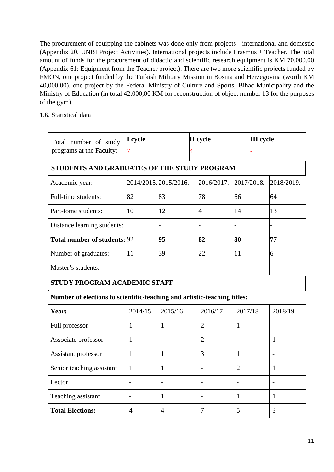The procurement of equipping the cabinets was done only from projects - international and domestic (Appendix 20, UNBI Project Activities). International projects include Erasmus + Teacher. The total amount of funds for the procurement of didactic and scientific research equipment is KM 70,000.00 (Appendix 61: Equipment from the Teacher project). There are two more scientific projects funded by FMON, one project funded by the Turkish Military Mission in Bosnia and Herzegovina (worth KM 40,000.00), one project by the Federal Ministry of Culture and Sports, Bihac Municipality and the Ministry of Education (in total 42.000,00 KM for reconstruction of object number 13 for the purposes of the gym).

#### 1.6. Statistical data

| I cycle<br>Total number of study                                         |                |                          |                | II cycle                         |                |  | <b>III</b> cycle |  |
|--------------------------------------------------------------------------|----------------|--------------------------|----------------|----------------------------------|----------------|--|------------------|--|
| programs at the Faculty:                                                 |                |                          | 4              |                                  |                |  |                  |  |
| STUDENTS AND GRADUATES OF THE STUDY PROGRAM                              |                |                          |                |                                  |                |  |                  |  |
| Academic year:                                                           |                | 2014/2015. 2015/2016.    |                | 2016/2017.                       | 2017/2018.     |  | 2018/2019.       |  |
| Full-time students:                                                      | 82             | 83<br>78                 |                |                                  | 66             |  | 64               |  |
| Part-tome students:                                                      | 10             | 12<br>4                  |                |                                  | 14             |  | 13               |  |
| Distance learning students:                                              |                |                          |                |                                  |                |  |                  |  |
| Total number of students: 92                                             |                | 95                       |                | 82                               | 80             |  | 77               |  |
| Number of graduates:                                                     | 11             | 39                       |                | 22                               | 11             |  | 6                |  |
| Master's students:                                                       |                |                          |                |                                  |                |  |                  |  |
| STUDY PROGRAM ACADEMIC STAFF                                             |                |                          |                |                                  |                |  |                  |  |
| Number of elections to scientific-teaching and artistic-teaching titles: |                |                          |                |                                  |                |  |                  |  |
| Year:                                                                    | 2014/15        | 2015/16                  |                | 2016/17                          | 2017/18        |  | 2018/19          |  |
| Full professor                                                           | $\mathbf{1}$   | $\mathbf{1}$             | $\overline{2}$ |                                  | $\mathbf{1}$   |  |                  |  |
| Associate professor                                                      | $\mathbf{1}$   | $\overline{\phantom{a}}$ |                | $\overline{2}$<br>$\blacksquare$ |                |  | $\mathbf{1}$     |  |
| Assistant professor                                                      | $\mathbf{1}$   | $\mathbf{1}$             |                | 3<br>1                           |                |  |                  |  |
| Senior teaching assistant                                                | $\mathbf{1}$   | $\mathbf{1}$             |                |                                  | $\overline{2}$ |  | $\mathbf{1}$     |  |
| Lector                                                                   | $\overline{a}$ | $\blacksquare$           |                |                                  | $\overline{a}$ |  | $\overline{a}$   |  |
| Teaching assistant                                                       | $\overline{a}$ | $\mathbf{1}$             |                |                                  | 1              |  | 1                |  |
| <b>Total Elections:</b>                                                  | $\overline{4}$ | $\overline{4}$           |                | 7                                | 5              |  | 3                |  |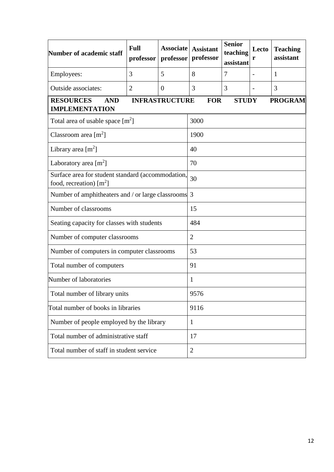| Number of academic staff                                                                                                         | <b>Full</b><br>professor | <b>Associate</b><br>professor | <b>Assistant</b><br>professor | <b>Senior</b><br>teaching<br>assistant | Lecto<br>r | <b>Teaching</b><br>assistant |  |  |
|----------------------------------------------------------------------------------------------------------------------------------|--------------------------|-------------------------------|-------------------------------|----------------------------------------|------------|------------------------------|--|--|
| Employees:                                                                                                                       | 3                        | 5                             | 8                             | 7                                      |            | 1                            |  |  |
| <b>Outside associates:</b>                                                                                                       | $\overline{2}$           | $\overline{0}$                | 3                             | 3                                      |            | 3                            |  |  |
| <b>INFRASTRUCTURE</b><br><b>RESOURCES</b><br><b>AND</b><br><b>FOR</b><br><b>STUDY</b><br><b>PROGRAM</b><br><b>IMPLEMENTATION</b> |                          |                               |                               |                                        |            |                              |  |  |
| Total area of usable space $[m^2]$                                                                                               |                          |                               | 3000                          |                                        |            |                              |  |  |
| Classroom area $[m^2]$                                                                                                           |                          |                               | 1900                          |                                        |            |                              |  |  |
| Library area $[m^2]$                                                                                                             |                          |                               | 40                            |                                        |            |                              |  |  |
| Laboratory area $[m^2]$                                                                                                          |                          |                               | 70                            |                                        |            |                              |  |  |
| Surface area for student standard (accommodation,<br>food, recreation) $[m^2]$                                                   |                          |                               | 30                            |                                        |            |                              |  |  |
| Number of amphitheaters and / or large classrooms 3                                                                              |                          |                               |                               |                                        |            |                              |  |  |
| Number of classrooms                                                                                                             |                          |                               | 15                            |                                        |            |                              |  |  |
| Seating capacity for classes with students                                                                                       |                          |                               | 484                           |                                        |            |                              |  |  |
| Number of computer classrooms                                                                                                    |                          |                               | $\overline{2}$                |                                        |            |                              |  |  |
| Number of computers in computer classrooms                                                                                       |                          |                               | 53                            |                                        |            |                              |  |  |
| Total number of computers                                                                                                        |                          |                               | 91                            |                                        |            |                              |  |  |
| Number of laboratories                                                                                                           |                          |                               | 1                             |                                        |            |                              |  |  |
| Total number of library units                                                                                                    |                          |                               | 9576                          |                                        |            |                              |  |  |
| Total number of books in libraries                                                                                               |                          |                               | 9116                          |                                        |            |                              |  |  |
| Number of people employed by the library                                                                                         |                          |                               | 1                             |                                        |            |                              |  |  |
| Total number of administrative staff                                                                                             |                          |                               | 17                            |                                        |            |                              |  |  |
| Total number of staff in student service                                                                                         |                          |                               | $\overline{2}$                |                                        |            |                              |  |  |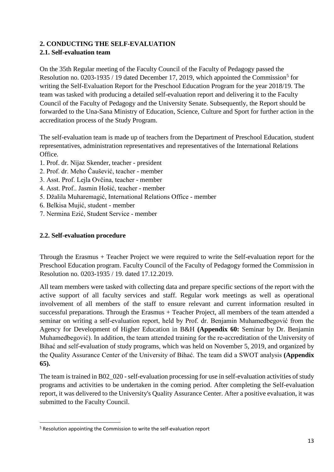## **2. CONDUCTING THE SELF-EVALUATION**

## **2.1. Self-evaluation team**

On the 35th Regular meeting of the Faculty Council of the Faculty of Pedagogy passed the Resolution no. 0203-193[5](#page-12-0) / 19 dated December 17, 2019, which appointed the Commission<sup>5</sup> for writing the Self-Evaluation Report for the Preschool Education Program for the year 2018/19. The team was tasked with producing a detailed self-evaluation report and delivering it to the Faculty Council of the Faculty of Pedagogy and the University Senate. Subsequently, the Report should be forwarded to the Una-Sana Ministry of Education, Science, Culture and Sport for further action in the accreditation process of the Study Program.

The self-evaluation team is made up of teachers from the Department of Preschool Education, student representatives, administration representatives and representatives of the International Relations Office.

- 1. Prof. dr. Nijaz Skender, teacher president
- 2. Prof. dr. Meho Čaušević, teacher member
- 3. Asst. Prof. Lejla Ovčina, teacher member
- 4. Asst. Prof.. Jasmin Hošić, teacher member
- 5. Džalila Muharemagić, International Relations Office member
- 6. Belkisa Mujić, student member
- 7. Nermina Ezić, Student Service member

## **2.2. Self-evaluation procedure**

Through the Erasmus + Teacher Project we were required to write the Self-evaluation report for the Preschool Education program. Faculty Council of the Faculty of Pedagogy formed the Commission in Resolution no. 0203-1935 / 19. dated 17.12.2019.

All team members were tasked with collecting data and prepare specific sections of the report with the active support of all faculty services and staff. Regular work meetings as well as operational involvement of all members of the staff to ensure relevant and current information resulted in successful preparations. Through the Erasmus + Teacher Project, all members of the team attended a seminar on writing a self-evaluation report, held by Prof. dr. Benjamin Muhamedbegović from the Agency for Development of Higher Education in B&H **(Appendix 60:** Seminar by Dr. Benjamin Muhamedbegović). In addition, the team attended training for the re-accreditation of the University of Bihać and self-evaluation of study programs, which was held on November 5, 2019, and organized by the Quality Assurance Center of the University of Bihać. The team did a SWOT analysis **(Appendix 65).**

The team is trained in B02\_020 - self-evaluation processing for use in self-evaluation activities of study programs and activities to be undertaken in the coming period. After completing the Self-evaluation report, it was delivered to the University's Quality Assurance Center. After a positive evaluation, it was submitted to the Faculty Council.

<span id="page-12-0"></span> <sup>5</sup> Resolution appointing the Commission to write the self-evaluation report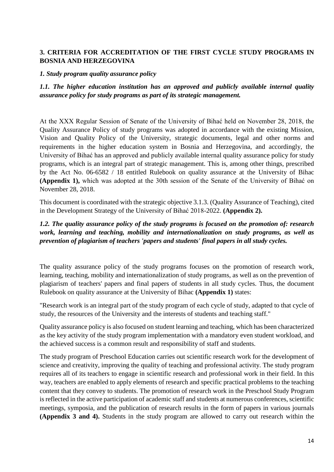#### **3. CRITERIA FOR ACCREDITATION OF THE FIRST CYCLE STUDY PROGRAMS IN BOSNIA AND HERZEGOVINA**

#### *1. Study program quality assurance policy*

*1.1. The higher education institution has an approved and publicly available internal quality assurance policy for study programs as part of its strategic management.*

At the XXX Regular Session of Senate of the University of Bihać held on November 28, 2018, the Quality Assurance Policy of study programs was adopted in accordance with the existing Mission, Vision and Quality Policy of the University, strategic documents, legal and other norms and requirements in the higher education system in Bosnia and Herzegovina, and accordingly, the University of Bihać has an approved and publicly available internal quality assurance policy for study programs, which is an integral part of strategic management. This is, among other things, prescribed by the Act No. 06-6582 / 18 entitled Rulebook on quality assurance at the University of Bihac **(Appendix 1),** which was adopted at the 30th session of the Senate of the University of Bihać on November 28, 2018.

This document is coordinated with the strategic objective 3.1.3. (Quality Assurance of Teaching), cited in the Development Strategy of the University of Bihać 2018-2022. **(Appendix 2).**

#### *1.2. The quality assurance policy of the study programs is focused on the promotion of: research work, learning and teaching, mobility and internationalization on study programs, as well as prevention of plagiarism of teachers 'papers and students' final papers in all study cycles.*

The quality assurance policy of the study programs focuses on the promotion of research work, learning, teaching, mobility and internationalization of study programs, as well as on the prevention of plagiarism of teachers' papers and final papers of students in all study cycles. Thus, the document Rulebook on quality assurance at the University of Bihac **(Appendix 1)** states:

"Research work is an integral part of the study program of each cycle of study, adapted to that cycle of study, the resources of the University and the interests of students and teaching staff."

Quality assurance policy is also focused on student learning and teaching, which has been characterized as the key activity of the study program implementation with a mandatory even student workload, and the achieved success is a common result and responsibility of staff and students.

The study program of Preschool Education carries out scientific research work for the development of science and creativity, improving the quality of teaching and professional activity. The study program requires all of its teachers to engage in scientific research and professional work in their field. In this way, teachers are enabled to apply elements of research and specific practical problems to the teaching content that they convey to students. The promotion of research work in the Preschool Study Program is reflected in the active participation of academic staff and students at numerous conferences, scientific meetings, symposia, and the publication of research results in the form of papers in various journals **(Appendix 3 and 4).** Students in the study program are allowed to carry out research within the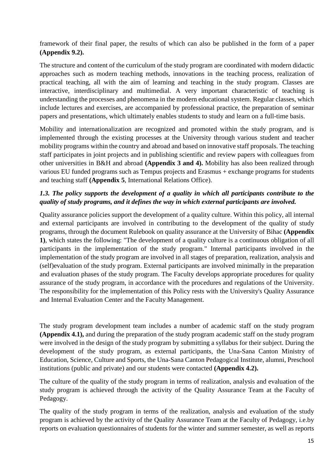framework of their final paper, the results of which can also be published in the form of a paper **(Appendix 9.2).**

The structure and content of the curriculum of the study program are coordinated with modern didactic approaches such as modern teaching methods, innovations in the teaching process, realization of practical teaching, all with the aim of learning and teaching in the study program. Classes are interactive, interdisciplinary and multimedial. A very important characteristic of teaching is understanding the processes and phenomena in the modern educational system. Regular classes, which include lectures and exercises, are accompanied by professional practice, the preparation of seminar papers and presentations, which ultimately enables students to study and learn on a full-time basis.

Mobility and internationalization are recognized and promoted within the study program, and is implemented through the existing processes at the University through various student and teacher mobility programs within the country and abroad and based on innovative staff proposals. The teaching staff participates in joint projects and in publishing scientific and review papers with colleagues from other universities in B&H and abroad **(Appendix 3 and 4).** Mobility has also been realized through various EU funded programs such as Tempus projects and Erasmus + exchange programs for students and teaching staff **(Appendix 5**, International Relations Office).

## *1.3. The policy supports the development of a quality in which all participants contribute to the quality of study programs, and it defines the way in which external participants are involved.*

Quality assurance policies support the development of a quality culture. Within this policy, all internal and external participants are involved in contributing to the development of the quality of study programs, through the document Rulebook on quality assurance at the University of Bihac **(Appendix 1)**, which states the following: "The development of a quality culture is a continuous obligation of all participants in the implementation of the study program." Internal participants involved in the implementation of the study program are involved in all stages of preparation, realization, analysis and (self)evaluation of the study program. External participants are involved minimally in the preparation and evaluation phases of the study program. The Faculty develops appropriate procedures for quality assurance of the study program, in accordance with the procedures and regulations of the University. The responsibility for the implementation of this Policy rests with the University's Quality Assurance and Internal Evaluation Center and the Faculty Management.

The study program development team includes a number of academic staff on the study program **(Appendix 4.1),** and during the preparation of the study program academic staff on the study program were involved in the design of the study program by submitting a syllabus for their subject. During the development of the study program, as external participants, the Una-Sana Canton Ministry of Education, Science, Culture and Sports, the Una-Sana Canton Pedagogical Institute, alumni, Preschool institutions (public and private) and our students were contacted **(Appendix 4.2).**

The culture of the quality of the study program in terms of realization, analysis and evaluation of the study program is achieved through the activity of the Quality Assurance Team at the Faculty of Pedagogy.

The quality of the study program in terms of the realization, analysis and evaluation of the study program is achieved by the activity of the Quality Assurance Team at the Faculty of Pedagogy, i.e.by reports on evaluation questionnaires of students for the winter and summer semester, as well as reports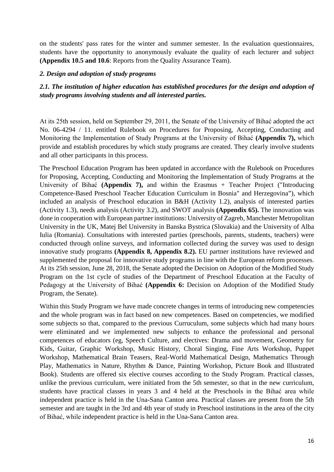on the students' pass rates for the winter and summer semester. In the evaluation questionnaires, students have the opportunity to anonymously evaluate the quality of each lecturer and subject **(Appendix 10.5 and 10.6**: Reports from the Quality Assurance Team).

#### *2. Design and adoption of study programs*

## *2.1. The institution of higher education has established procedures for the design and adoption of study programs involving students and all interested parties.*

At its 25th session, held on September 29, 2011, the Senate of the University of Bihać adopted the act No. 06-4294 / 11. entitled Rulebook on Procedures for Proposing, Accepting, Conducting and Monitoring the Implementation of Study Programs at the University of Bihać **(Appendix 7),** which provide and establish procedures by which study programs are created. They clearly involve students and all other participants in this process.

The Preschool Education Program has been updated in accordance with the Rulebook on Procedures for Proposing, Accepting, Conducting and Monitoring the Implementation of Study Programs at the University of Bihać **(Appendix 7),** and within the Erasmus + Teacher Project ("Introducing Competence-Based Preschool Teacher Education Curriculum in Bosnia" and Herzegovina"), which included an analysis of Preschool education in B&H (Activity 1.2), analysis of interested parties (Activity 1.3), needs analysis (Activity 3.2), and SWOT analysis **(Appendix 65).** The innovation was done in cooperation with European partner institutions: University of Zagreb, Manchester Metropolitan University in the UK, Matej Bel University in Banska Bystrica (Slovakia) and the University of Alba Iulia (Romania). Consultations with interested parties (preschools, parents, students, teachers) were conducted through online surveys, and information collected during the survey was used to design innovative study programs **(Appendix 8, Appendix 8.2).** EU partner institutions have reviewed and supplemented the proposal for innovative study programs in line with the European reform processes. At its 25th session, June 28, 2018, the Senate adopted the Decision on Adoption of the Modified Study Program on the 1st cycle of studies of the Department of Preschool Education at the Faculty of Pedagogy at the University of Bihać **(Appendix 6:** Decision on Adoption of the Modified Study Program, the Senate).

Within this Study Program we have made concrete changes in terms of introducing new competencies and the whole program was in fact based on new competences. Based on competencies, we modified some subjects so that, compared to the previous Curruculum, some subjects which had many hours were eliminated and we implemented new subjects to enhance the professional and personal competences of educators (eg, Speech Culture, and electives: Drama and movement, Geometry for Kids, Guitar, Graphic Workshop, Music History, Choral Singing, Fine Arts Workshop, Puppet Workshop, Mathematical Brain Teasers, Real-World Mathematical Design, Mathematics Through Play, Mathematics in Nature, Rhythm & Dance, Painting Workshop, Picture Book and Illustrated Book). Students are offered six elective courses according to the Study Program. Practical classes, unlike the previous curriculum, were initiated from the 5th semester, so that in the new curriculum, students have practical classes in years 3 and 4 held at the Preschools in the Bihać area while independent practice is held in the Una-Sana Canton area. Practical classes are present from the 5th semester and are taught in the 3rd and 4th year of study in Preschool institutions in the area of the city of Bihać, while independent practice is held in the Una-Sana Canton area.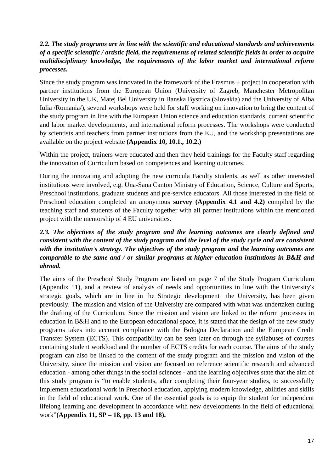## *2.2. The study programs are in line with the scientific and educational standards and achievements of a specific scientific / artistic field, the requirements of related scientific fields in order to acquire multidisciplinary knowledge, the requirements of the labor market and international reform processes.*

Since the study program was innovated in the framework of the Erasmus + project in cooperation with partner institutions from the European Union (University of Zagreb, Manchester Metropolitan University in the UK, Matej Bel University in Banska Bystrica (Slovakia) and the University of Alba Iulia /Romania/), several workshops were held for staff working on innovation to bring the content of the study program in line with the European Union science and education standards, current scientific and labor market developments, and international reform processes. The workshops were conducted by scientists and teachers from partner institutions from the EU, and the workshop presentations are available on the project website **(Appendix 10, 10.1., 10.2.)**

Within the project, trainers were educated and then they held trainings for the Faculty staff regarding the innovation of Curriculum based on competences and learning outcomes.

During the innovating and adopting the new curricula Faculty students, as well as other interested institutions were involved, e.g. Una-Sana Canton Ministry of Education, Science, Culture and Sports, Preschool institutions, graduate students and pre-service educators. All those interested in the field of Preschool education completed an anonymous **survey (Appendix 4.1 and 4.2)** compiled by the teaching staff and students of the Faculty together with all partner institutions within the mentioned project with the mentorship of 4 EU universities.

## *2.3. The objectives of the study program and the learning outcomes are clearly defined and consistent with the content of the study program and the level of the study cycle and are consistent with the institution's strategy. The objectives of the study program and the learning outcomes are comparable to the same and / or similar programs at higher education institutions in B&H and abroad.*

The aims of the Preschool Study Program are listed on page 7 of the Study Program Curriculum (Appendix 11), and a review of analysis of needs and opportunities in line with the University's strategic goals, which are in line in the Strategic development the University, has been given previously. The mission and vision of the University are compared with what was undertaken during the drafting of the Curriculum. Since the mission and vision are linked to the reform processes in education in B&H and to the European educational space, it is stated that the design of the new study programs takes into account compliance with the Bologna Declaration and the European Credit Transfer System (ECTS). This compatibility can be seen later on through the syllabuses of courses containing student workload and the number of ECTS credits for each course. The aims of the study program can also be linked to the content of the study program and the mission and vision of the University, since the mission and vision are focused on reference scientific research and advanced education - among other things in the social sciences - and the learning objectives state that the aim of this study program is "to enable students, after completing their four-year studies, to successfully implement educational work in Preschool education, applying modern knowledge, abilities and skills in the field of educational work. One of the essential goals is to equip the student for independent lifelong learning and development in accordance with new developments in the field of educational work"**(Appendix 11, SP – 18, pp. 13 and 18).**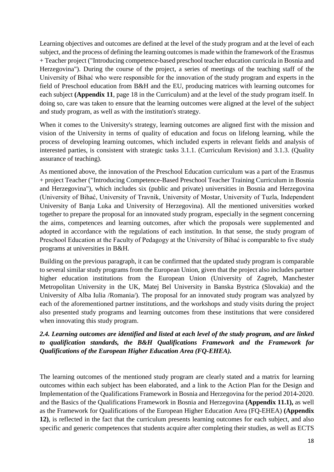Learning objectives and outcomes are defined at the level of the study program and at the level of each subject, and the process of defining the learning outcomes is made within the framework of the Erasmus + Teacher project ("Introducing competence-based preschool teacher education curricula in Bosnia and Herzegovina"). During the course of the project, a series of meetings of the teaching staff of the University of Bihać who were responsible for the innovation of the study program and experts in the field of Preschool education from B&H and the EU, producing matrices with learning outcomes for each subject **(Appendix 11**, page 18 in the Curriculum) and at the level of the study program itself. In doing so, care was taken to ensure that the learning outcomes were aligned at the level of the subject and study program, as well as with the institution's strategy.

When it comes to the University's strategy, learning outcomes are aligned first with the mission and vision of the University in terms of quality of education and focus on lifelong learning, while the process of developing learning outcomes, which included experts in relevant fields and analysis of interested parties, is consistent with strategic tasks 3.1.1. (Curriculum Revision) and 3.1.3. (Quality assurance of teaching).

As mentioned above, the innovation of the Preschool Education curriculum was a part of the Erasmus + project Teacher ("Introducing Competence-Based Preschool Teacher Training Curriculum in Bosnia and Herzegovina"), which includes six (public and private) universities in Bosnia and Herzegovina (University of Bihać, University of Travnik, University of Mostar, University of Tuzla, Independent University of Banja Luka and University of Herzegovina). All the mentioned universities worked together to prepare the proposal for an innovated study program, especially in the segment concerning the aims, competences and learning outcomes, after which the proposals were supplemented and adopted in accordance with the regulations of each institution. In that sense, the study program of Preschool Education at the Faculty of Pedagogy at the University of Bihać is comparable to five study programs at universities in B&H.

Building on the previous paragraph, it can be confirmed that the updated study program is comparable to several similar study programs from the European Union, given that the project also includes partner higher education institutions from the European Union (University of Zagreb, Manchester Metropolitan University in the UK, Matej Bel University in Banska Bystrica (Slovakia) and the University of Alba Iulia /Romania/). The proposal for an innovated study program was analyzed by each of the aforementioned partner institutions, and the workshops and study visits during the project also presented study programs and learning outcomes from these institutions that were considered when innovating this study program.

#### *2.4. Learning outcomes are identified and listed at each level of the study program, and are linked to qualification standards, the B&H Qualifications Framework and the Framework for Qualifications of the European Higher Education Area (FQ-EHEA).*

The learning outcomes of the mentioned study program are clearly stated and a matrix for learning outcomes within each subject has been elaborated, and a link to the Action Plan for the Design and Implementation of the Qualifications Framework in Bosnia and Herzegovina for the period 2014-2020. and the Basics of the Qualifications Framework in Bosnia and Herzegovina **(Appendix 11.1),** as well as the Framework for Qualifications of the European Higher Education Area (FQ-EHEA) **(Appendix 12)**, is reflected in the fact that the curriculum presents learning outcomes for each subject, and also specific and generic competences that students acquire after completing their studies, as well as ECTS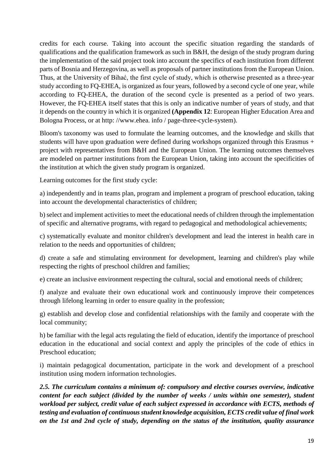credits for each course. Taking into account the specific situation regarding the standards of qualifications and the qualification framework as such in B&H, the design of the study program during the implementation of the said project took into account the specifics of each institution from different parts of Bosnia and Herzegovina, as well as proposals of partner institutions from the European Union. Thus, at the University of Bihać, the first cycle of study, which is otherwise presented as a three-year study according to FQ-EHEA, is organized as four years, followed by a second cycle of one year, while according to FQ-EHEA, the duration of the second cycle is presented as a period of two years. However, the FQ-EHEA itself states that this is only an indicative number of years of study, and that it depends on the country in which it is organized **(Appendix 12**: European Higher Education Area and Bologna Process, or at http: //www.ehea. info / page-three-cycle-system).

Bloom's taxonomy was used to formulate the learning outcomes, and the knowledge and skills that students will have upon graduation were defined during workshops organized through this Erasmus + project with representatives from B&H and the European Union. The learning outcomes themselves are modeled on partner institutions from the European Union, taking into account the specificities of the institution at which the given study program is organized.

Learning outcomes for the first study cycle:

a) independently and in teams plan, program and implement a program of preschool education, taking into account the developmental characteristics of children;

b) select and implement activities to meet the educational needs of children through the implementation of specific and alternative programs, with regard to pedagogical and methodological achievements;

c) systematically evaluate and monitor children's development and lead the interest in health care in relation to the needs and opportunities of children;

d) create a safe and stimulating environment for development, learning and children's play while respecting the rights of preschool children and families;

e) create an inclusive environment respecting the cultural, social and emotional needs of children;

f) analyze and evaluate their own educational work and continuously improve their competences through lifelong learning in order to ensure quality in the profession;

g) establish and develop close and confidential relationships with the family and cooperate with the local community;

h) be familiar with the legal acts regulating the field of education, identify the importance of preschool education in the educational and social context and apply the principles of the code of ethics in Preschool education;

i) maintain pedagogical documentation, participate in the work and development of a preschool institution using modern information technologies.

*2.5. The curriculum contains a minimum of: compulsory and elective courses overview, indicative content for each subject (divided by the number of weeks / units within one semester), student workload per subject, credit value of each subject expressed in accordance with ECTS, methods of testing and evaluation of continuous student knowledge acquisition, ECTS credit value of final work on the 1st and 2nd cycle of study, depending on the status of the institution, quality assurance*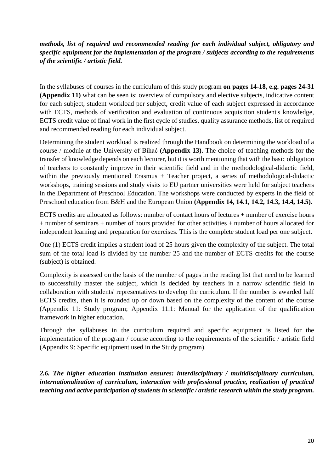*methods, list of required and recommended reading for each individual subject, obligatory and specific equipment for the implementation of the program / subjects according to the requirements of the scientific / artistic field.*

In the syllabuses of courses in the curriculum of this study program **on pages 14-18, e.g. pages 24-31 (Appendix 11)** what can be seen is: overview of compulsory and elective subjects, indicative content for each subject, student workload per subject, credit value of each subject expressed in accordance with ECTS, methods of verification and evaluation of continuous acquisition student's knowledge, ECTS credit value of final work in the first cycle of studies, quality assurance methods, list of required and recommended reading for each individual subject.

Determining the student workload is realized through the Handbook on determining the workload of a course / module at the University of Bihać **(Appendix 13).** The choice of teaching methods for the transfer of knowledge depends on each lecturer, but it is worth mentioning that with the basic obligation of teachers to constantly improve in their scientific field and in the methodological-didactic field, within the previously mentioned Erasmus + Teacher project, a series of methodological-didactic workshops, training sessions and study visits to EU partner universities were held for subject teachers in the Department of Preschool Education. The workshops were conducted by experts in the field of Preschool education from B&H and the European Union **(Appendix 14, 14.1, 14.2, 14.3, 14.4, 14.5).**

ECTS credits are allocated as follows: number of contact hours of lectures + number of exercise hours + number of seminars + number of hours provided for other activities + number of hours allocated for independent learning and preparation for exercises. This is the complete student load per one subject.

One (1) ECTS credit implies a student load of 25 hours given the complexity of the subject. The total sum of the total load is divided by the number 25 and the number of ECTS credits for the course (subject) is obtained.

Complexity is assessed on the basis of the number of pages in the reading list that need to be learned to successfully master the subject, which is decided by teachers in a narrow scientific field in collaboration with students' representatives to develop the curriculum. If the number is awarded half ECTS credits, then it is rounded up or down based on the complexity of the content of the course (Appendix 11: Study program; Appendix 11.1: Manual for the application of the qualification framework in higher education.

Through the syllabuses in the curriculum required and specific equipment is listed for the implementation of the program / course according to the requirements of the scientific / artistic field (Appendix 9: Specific equipment used in the Study program).

*2.6. The higher education institution ensures: interdisciplinary / multidisciplinary curriculum, internationalization of curriculum, interaction with professional practice, realization of practical teaching and active participation of students in scientific / artistic research within the study program.*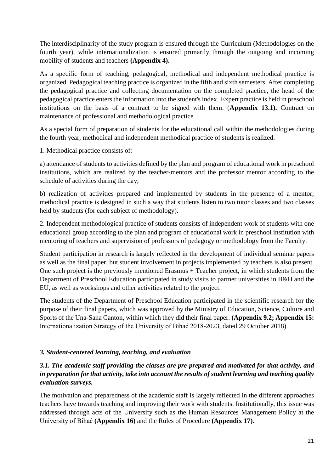The interdisciplinarity of the study program is ensured through the Curriculum (Methodologies on the fourth year), while internationalization is ensured primarily through the outgoing and incoming mobility of students and teachers **(Appendix 4).**

As a specific form of teaching, pedagogical, methodical and independent methodical practice is organized. Pedagogical teaching practice is organized in the fifth and sixth semesters. After completing the pedagogical practice and collecting documentation on the completed practice, the head of the pedagogical practice enters the information into the student's index. Expert practice is held in preschool institutions on the basis of a contract to be signed with them. (**Appendix 13.1).** Contract on maintenance of professional and methodological practice

As a special form of preparation of students for the educational call within the methodologies during the fourth year, methodical and independent methodical practice of students is realized.

1. Methodical practice consists of:

a) attendance of students to activities defined by the plan and program of educational work in preschool institutions, which are realized by the teacher-mentors and the professor mentor according to the schedule of activities during the day;

b) realization of activities prepared and implemented by students in the presence of a mentor; methodical practice is designed in such a way that students listen to two tutor classes and two classes held by students (for each subject of methodology).

2. Independent methodological practice of students consists of independent work of students with one educational group according to the plan and program of educational work in preschool institution with mentoring of teachers and supervision of professors of pedagogy or methodology from the Faculty.

Student participation in research is largely reflected in the development of individual seminar papers as well as the final paper, but student involvement in projects implemented by teachers is also present. One such project is the previously mentioned Erasmus + Teacher project, in which students from the Department of Preschool Education participated in study visits to partner universities in B&H and the EU, as well as workshops and other activities related to the project.

The students of the Department of Preschool Education participated in the scientific research for the purpose of their final papers, which was approved by the Ministry of Education, Science, Culture and Sports of the Una-Sana Canton, within which they did their final paper. **(Appendix 9.2; Appendix 15:**  Internationalization Strategy of the University of Bihać 2018-2023, dated 29 October 2018)

## *3. Student-centered learning, teaching, and evaluation*

## *3.1. The academic staff providing the classes are pre-prepared and motivated for that activity, and in preparation for that activity, take into account the results of student learning and teaching quality evaluation surveys.*

The motivation and preparedness of the academic staff is largely reflected in the different approaches teachers have towards teaching and improving their work with students. Institutionally, this issue was addressed through acts of the University such as the Human Resources Management Policy at the University of Bihać **(Appendix 16)** and the Rules of Procedure **(Appendix 17).**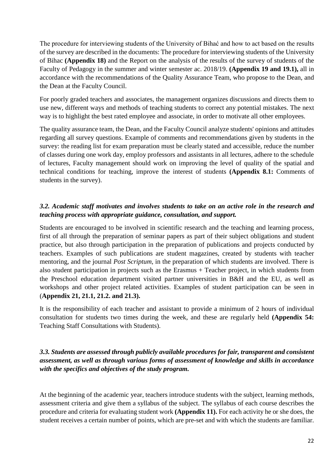The procedure for interviewing students of the University of Bihać and how to act based on the results of the survey are described in the documents: The procedure for interviewing students of the University of Bihac **(Appendix 18)** and the Report on the analysis of the results of the survey of students of the Faculty of Pedagogy in the summer and winter semester ac. 2018/19. **(Appendix 19 and 19.1),** all in accordance with the recommendations of the Quality Assurance Team, who propose to the Dean, and the Dean at the Faculty Council.

For poorly graded teachers and associates, the management organizes discussions and directs them to use new, different ways and methods of teaching students to correct any potential mistakes. The next way is to highlight the best rated employee and associate, in order to motivate all other employees.

The quality assurance team, the Dean, and the Faculty Council analyze students' opinions and attitudes regarding all survey questions. Example of comments and recommendations given by students in the survey: the reading list for exam preparation must be clearly stated and accessible, reduce the number of classes during one work day, employ professors and assistants in all lectures, adhere to the schedule of lectures, Faculty management should work on improving the level of quality of the spatial and technical conditions for teaching, improve the interest of students **(Appendix 8.1:** Comments of students in the survey).

## *3.2. Academic staff motivates and involves students to take on an active role in the research and teaching process with appropriate guidance, consultation, and support.*

Students are encouraged to be involved in scientific research and the teaching and learning process, first of all through the preparation of seminar papers as part of their subject obligations and student practice, but also through participation in the preparation of publications and projects conducted by teachers. Examples of such publications are student magazines, created by students with teacher mentoring, and the journal *Post Scriptum*, in the preparation of which students are involved. There is also student participation in projects such as the Erasmus + Teacher project, in which students from the Preschool education department visited partner universities in B&H and the EU, as well as workshops and other project related activities. Examples of student participation can be seen in (**Appendix 21, 21.1, 21.2. and 21.3).**

It is the responsibility of each teacher and assistant to provide a minimum of 2 hours of individual consultation for students two times during the week, and these are regularly held **(Appendix 54:** Teaching Staff Consultations with Students).

## *3.3. Students are assessed through publicly available procedures for fair, transparent and consistent assessment, as well as through various forms of assessment of knowledge and skills in accordance with the specifics and objectives of the study program.*

At the beginning of the academic year, teachers introduce students with the subject, learning methods, assessment criteria and give them a syllabus of the subject. The syllabus of each course describes the procedure and criteria for evaluating student work **(Appendix 11).** For each activity he or she does, the student receives a certain number of points, which are pre-set and with which the students are familiar.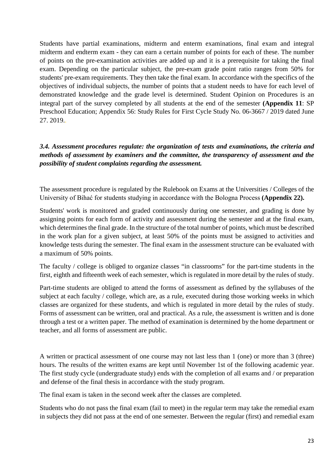Students have partial examinations, midterm and enterm examinations, final exam and integral midterm and endterm exam - they can earn a certain number of points for each of these. The number of points on the pre-examination activities are added up and it is a prerequisite for taking the final exam. Depending on the particular subject, the pre-exam grade point ratio ranges from 50% for students' pre-exam requirements. They then take the final exam. In accordance with the specifics of the objectives of individual subjects, the number of points that a student needs to have for each level of demonstrated knowledge and the grade level is determined. Student Opinion on Procedures is an integral part of the survey completed by all students at the end of the semester **(Appendix 11**: SP Preschool Education; Appendix 56: Study Rules for First Cycle Study No. 06-3667 / 2019 dated June 27. 2019.*.*

## *3.4. Assessment procedures regulate: the organization of tests and examinations, the criteria and methods of assessment by examiners and the committee, the transparency of assessment and the possibility of student complaints regarding the assessment.*

The assessment procedure is regulated by the Rulebook on Exams at the Universities / Colleges of the University of Bihać for students studying in accordance with the Bologna Process **(Appendix 22).**

Students' work is monitored and graded continuously during one semester, and grading is done by assigning points for each form of activity and assessment during the semester and at the final exam, which determines the final grade. In the structure of the total number of points, which must be described in the work plan for a given subject, at least 50% of the points must be assigned to activities and knowledge tests during the semester. The final exam in the assessment structure can be evaluated with a maximum of 50% points.

The faculty / college is obliged to organize classes "in classrooms" for the part-time students in the first, eighth and fifteenth week of each semester, which is regulated in more detail by the rules of study.

Part-time students are obliged to attend the forms of assessment as defined by the syllabuses of the subject at each faculty / college, which are, as a rule, executed during those working weeks in which classes are organized for these students, and which is regulated in more detail by the rules of study. Forms of assessment can be written, oral and practical. As a rule, the assessment is written and is done through a test or a written paper. The method of examination is determined by the home department or teacher, and all forms of assessment are public.

A written or practical assessment of one course may not last less than 1 (one) or more than 3 (three) hours. The results of the written exams are kept until November 1st of the following academic year. The first study cycle (undergraduate study) ends with the completion of all exams and / or preparation and defense of the final thesis in accordance with the study program.

The final exam is taken in the second week after the classes are completed.

Students who do not pass the final exam (fail to meet) in the regular term may take the remedial exam in subjects they did not pass at the end of one semester. Between the regular (first) and remedial exam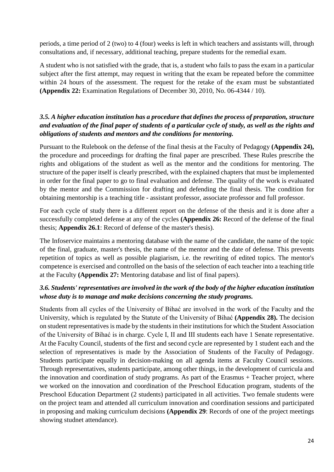periods, a time period of 2 (two) to 4 (four) weeks is left in which teachers and assistants will, through consultations and, if necessary, additional teaching, prepare students for the remedial exam.

A student who is not satisfied with the grade, that is, a student who fails to pass the exam in a particular subject after the first attempt, may request in writing that the exam be repeated before the committee within 24 hours of the assessment. The request for the retake of the exam must be substantiated **(Appendix 22:** Examination Regulations of December 30, 2010, No. 06-4344 / 10).

## *3.5. A higher education institution has a procedure that defines the process of preparation, structure and evaluation of the final paper of students of a particular cycle of study, as well as the rights and obligations of students and mentors and the conditions for mentoring.*

Pursuant to the Rulebook on the defense of the final thesis at the Faculty of Pedagogy **(Appendix 24),** the procedure and proceedings for drafting the final paper are prescribed. These Rules prescribe the rights and obligations of the student as well as the mentor and the conditions for mentoring. The structure of the paper itself is clearly prescribed, with the explained chapters that must be implemented in order for the final paper to go to final evaluation and defense. The quality of the work is evaluated by the mentor and the Commission for drafting and defending the final thesis. The condition for obtaining mentorship is a teaching title - assistant professor, associate professor and full professor.

For each cycle of study there is a different report on the defense of the thesis and it is done after a successfully completed defense at any of the cycles **(Appendix 26:** Record of the defense of the final thesis; **Appendix 26.1**: Record of defense of the master's thesis).

The Infoservice maintains a mentoring database with the name of the candidate, the name of the topic of the final, graduate, master's thesis, the name of the mentor and the date of defense. This prevents repetition of topics as well as possible plagiarism, i.e. the rewriting of edited topics. The mentor's competence is exercised and controlled on the basis of the selection of each teacher into a teaching title at the Faculty **(Appendix 27:** Mentoring database and list of final papers).

## *3.6. Students' representatives are involved in the work of the body of the higher education institution whose duty is to manage and make decisions concerning the study programs.*

Students from all cycles of the University of Bihać are involved in the work of the Faculty and the University, which is regulated by the Statute of the University of Bihać **(Appendix 28).** The decision on student representatives is made by the students in their institutions for which the Student Association of the University of Bihać is in charge. Cycle I, II and III students each have 1 Senate representative. At the Faculty Council, students of the first and second cycle are represented by 1 student each and the selection of representatives is made by the Association of Students of the Faculty of Pedagogy. Students participate equally in decision-making on all agenda items at Faculty Council sessions. Through representatives, students participate, among other things, in the development of curricula and the innovation and coordination of study programs. As part of the Erasmus + Teacher project, where we worked on the innovation and coordination of the Preschool Education program, students of the Preschool Education Department (2 students) participated in all activities. Two female students were on the project team and attended all curriculum innovation and coordination sessions and participated in proposing and making curriculum decisions **(Appendix 29**: Records of one of the project meetings showing studnet attendance).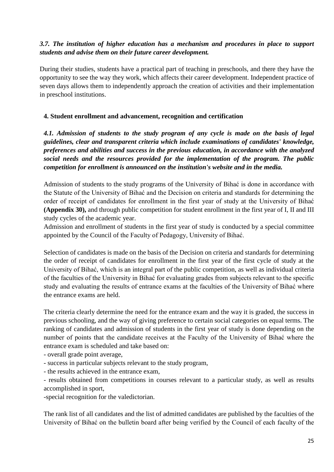## *3.7. The institution of higher education has a mechanism and procedures in place to support students and advise them on their future career development.*

During their studies, students have a practical part of teaching in preschools, and there they have the opportunity to see the way they work, which affects their career development. Independent practice of seven days allows them to independently approach the creation of activities and their implementation in preschool institutions.

#### **4. Student enrollment and advancement, recognition and certification**

*4.1. Admission of students to the study program of any cycle is made on the basis of legal guidelines, clear and transparent criteria which include examinations of candidates' knowledge, preferences and abilities and success in the previous education, in accordance with the analyzed social needs and the resources provided for the implementation of the program. The public competition for enrollment is announced on the institution's website and in the media.*

Admission of students to the study programs of the University of Bihać is done in accordance with the Statute of the University of Bihać and the Decision on criteria and standards for determining the order of receipt of candidates for enrollment in the first year of study at the University of Bihać **(Appendix 30),** and through public competition for student enrollment in the first year of I, II and III study cycles of the academic year.

Admission and enrollment of students in the first year of study is conducted by a special committee appointed by the Council of the Faculty of Pedagogy, University of Bihać.

Selection of candidates is made on the basis of the Decision on criteria and standards for determining the order of receipt of candidates for enrollment in the first year of the first cycle of study at the University of Bihać, which is an integral part of the public competition, as well as individual criteria of the faculties of the University in Bihać for evaluating grades from subjects relevant to the specific study and evaluating the results of entrance exams at the faculties of the University of Bihać where the entrance exams are held.

The criteria clearly determine the need for the entrance exam and the way it is graded, the success in previous schooling, and the way of giving preference to certain social categories on equal terms. The ranking of candidates and admission of students in the first year of study is done depending on the number of points that the candidate receives at the Faculty of the University of Bihać where the entrance exam is scheduled and take based on:

- overall grade point average,

- success in particular subjects relevant to the study program,

- the results achieved in the entrance exam,

- results obtained from competitions in courses relevant to a particular study, as well as results accomplished in sport,

-special recognition for the valedictorian.

The rank list of all candidates and the list of admitted candidates are published by the faculties of the University of Bihać on the bulletin board after being verified by the Council of each faculty of the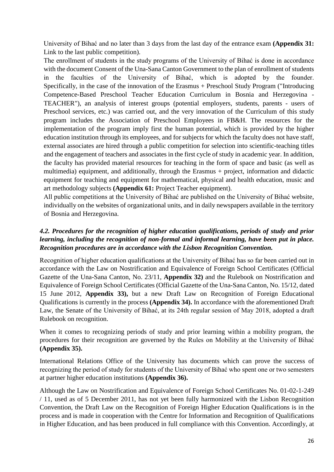University of Bihać and no later than 3 days from the last day of the entrance exam **(Appendix 31:** Link to the last public competition).

The enrollment of students in the study programs of the University of Bihać is done in accordance with the document Consent of the Una-Sana Canton Government to the plan of enrollment of students in the faculties of the University of Bihać, which is adopted by the founder. Specifically, in the case of the innovation of the Erasmus + Preschool Study Program ("Introducing Competence-Based Preschool Teacher Education Curriculum in Bosnia and Herzegovina - TEACHER"), an analysis of interest groups (potential employers, students, parents - users of Preschool services, etc.) was carried out, and the very innovation of the Curriculum of this study program includes the Association of Preschool Employees in FB&H. The resources for the implementation of the program imply first the human potential, which is provided by the higher education institution through its employees, and for subjects for which the faculty does not have staff, external associates are hired through a public competition for selection into scientific-teaching titles and the engagement of teachers and associates in the first cycle of study in academic year. In addition, the faculty has provided material resources for teaching in the form of space and basic (as well as multimedia) equipment, and additionally, through the Erasmus + project, information and didactic equipment for teaching and equipment for mathematical, physical and health education, music and art methodology subjects **(Appendix 61:** Project Teacher equipment).

All public competitions at the University of Bihać are published on the University of Bihać website, individually on the websites of organizational units, and in daily newspapers available in the territory of Bosnia and Herzegovina.

#### *4.2. Procedures for the recognition of higher education qualifications, periods of study and prior learning, including the recognition of non-formal and informal learning, have been put in place. Recognition procedures are in accordance with the Lisbon Recognition Convention.*

Recognition of higher education qualifications at the University of Bihać has so far been carried out in accordance with the Law on Nostrification and Equivalence of Foreign School Certificates (Official Gazette of the Una-Sana Canton, No. 23/11, **Appendix 32)** and the Rulebook on Nostrification and Equivalence of Foreign School Certificates (Official Gazette of the Una-Sana Canton, No. 15/12, dated 15 June 2012, **Appendix 33),** but a new Draft Law on Recognition of Foreign Educational Qualifications is currently in the process **(Appendix 34).** In accordance with the aforementioned Draft Law, the Senate of the University of Bihać, at its 24th regular session of May 2018, adopted a draft Rulebook on recognition.

When it comes to recognizing periods of study and prior learning within a mobility program, the procedures for their recognition are governed by the Rules on Mobility at the University of Bihać **(Appendix 35).**

International Relations Office of the University has documents which can prove the success of recognizing the period of study for students of the University of Bihać who spent one or two semesters at partner higher education institutions **(Appendix 36).**

Although the Law on Nostrification and Equivalence of Foreign School Certificates No. 01-02-1-249 / 11, used as of 5 December 2011, has not yet been fully harmonized with the Lisbon Recognition Convention, the Draft Law on the Recognition of Foreign Higher Education Qualifications is in the process and is made in cooperation with the Centre for Information and Recognition of Qualifications in Higher Education, and has been produced in full compliance with this Convention. Accordingly, at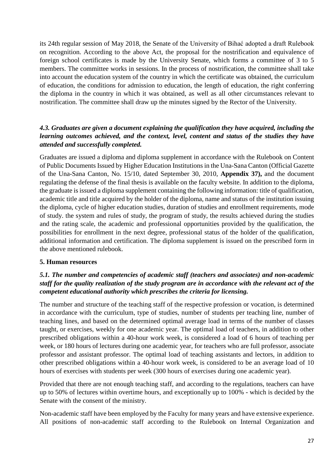its 24th regular session of May 2018, the Senate of the University of Bihać adopted a draft Rulebook on recognition. According to the above Act, the proposal for the nostrification and equivalence of foreign school certificates is made by the University Senate, which forms a committee of 3 to 5 members. The committee works in sessions. In the process of nostrification, the committee shall take into account the education system of the country in which the certificate was obtained, the curriculum of education, the conditions for admission to education, the length of education, the right conferring the diploma in the country in which it was obtained, as well as all other circumstances relevant to nostrification. The committee shall draw up the minutes signed by the Rector of the University.

## *4.3. Graduates are given a document explaining the qualification they have acquired, including the learning outcomes achieved, and the context, level, content and status of the studies they have attended and successfully completed.*

Graduates are issued a diploma and diploma supplement in accordance with the Rulebook on Content of Public Documents Issued by Higher Education Institutions in the Una-Sana Canton (Official Gazette of the Una-Sana Canton, No. 15/10, dated September 30, 2010, **Appendix 37),** and the document regulating the defense of the final thesis is available on the faculty website. In addition to the diploma, the graduate is issued a diploma supplement containing the following information: title of qualification, academic title and title acquired by the holder of the diploma, name and status of the institution issuing the diploma, cycle of higher education studies, duration of studies and enrollment requirements, mode of study. the system and rules of study, the program of study, the results achieved during the studies and the rating scale, the academic and professional opportunities provided by the qualification, the possibilities for enrollment in the next degree, professional status of the holder of the qualification, additional information and certification. The diploma supplement is issued on the prescribed form in the above mentioned rulebook.

#### **5. Human resources**

## *5.1. The number and competencies of academic staff (teachers and associates) and non-academic staff for the quality realization of the study program are in accordance with the relevant act of the competent educational authority which prescribes the criteria for licensing.*

The number and structure of the teaching staff of the respective profession or vocation, is determined in accordance with the curriculum, type of studies, number of students per teaching line, number of teaching lines, and based on the determined optimal average load in terms of the number of classes taught, or exercises, weekly for one academic year. The optimal load of teachers, in addition to other prescribed obligations within a 40-hour work week, is considered a load of 6 hours of teaching per week, or 180 hours of lectures during one academic year, for teachers who are full professor, associate professor and assistant professor. The optimal load of teaching assistants and lectors, in addition to other prescribed obligations within a 40-hour work week, is considered to be an average load of 10 hours of exercises with students per week (300 hours of exercises during one academic year).

Provided that there are not enough teaching staff, and according to the regulations, teachers can have up to 50% of lectures within overtime hours, and exceptionally up to 100% - which is decided by the Senate with the consent of the ministry.

Non-academic staff have been employed by the Faculty for many years and have extensive experience. All positions of non-academic staff according to the Rulebook on Internal Organization and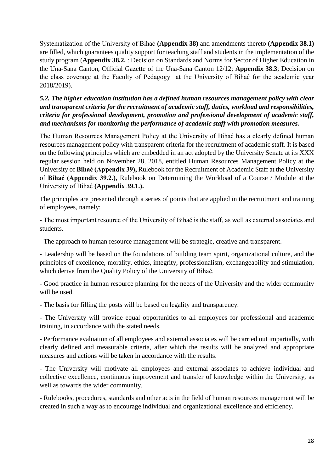Systematization of the University of Bihać **(Appendix 38)** and amendments thereto **(Appendix 38.1)** are filled, which guarantees quality support for teaching staff and students in the implementation of the study program (**Appendix 38.2.** : Decision on Standards and Norms for Sector of Higher Education in the Una-Sana Canton, Official Gazette of the Una-Sana Canton 12/12; **Appendix 38.3**; Decision on the class coverage at the Faculty of Pedagogy at the University of Bihać for the academic year 2018/2019).

*5.2. The higher education institution has a defined human resources management policy with clear and transparent criteria for the recruitment of academic staff, duties, workload and responsibilities, criteria for professional development, promotion and professional development of academic staff, and mechanisms for monitoring the performance of academic staff with promotion measures.*

The Human Resources Management Policy at the University of Bihać has a clearly defined human resources management policy with transparent criteria for the recruitment of academic staff. It is based on the following principles which are embedded in an act adopted by the University Senate at its XXX regular session held on November 28, 2018, entitled Human Resources Management Policy at the University of **Bihać (Appendix 39),** Rulebook for the Recruitment of Academic Staff at the University of **Bihać (Appendix 39.2.),** Rulebook on Determining the Workload of a Course / Module at the University of Bihać **(Appendix 39.1.).**

The principles are presented through a series of points that are applied in the recruitment and training of employees, namely:

- The most important resource of the University of Bihać is the staff, as well as external associates and students.

- The approach to human resource management will be strategic, creative and transparent.

- Leadership will be based on the foundations of building team spirit, organizational culture, and the principles of excellence, morality, ethics, integrity, professionalism, exchangeability and stimulation, which derive from the Quality Policy of the University of Bihać.

- Good practice in human resource planning for the needs of the University and the wider community will be used.

- The basis for filling the posts will be based on legality and transparency.

- The University will provide equal opportunities to all employees for professional and academic training, in accordance with the stated needs.

- Performance evaluation of all employees and external associates will be carried out impartially, with clearly defined and measurable criteria, after which the results will be analyzed and appropriate measures and actions will be taken in accordance with the results.

- The University will motivate all employees and external associates to achieve individual and collective excellence, continuous improvement and transfer of knowledge within the University, as well as towards the wider community.

- Rulebooks, procedures, standards and other acts in the field of human resources management will be created in such a way as to encourage individual and organizational excellence and efficiency.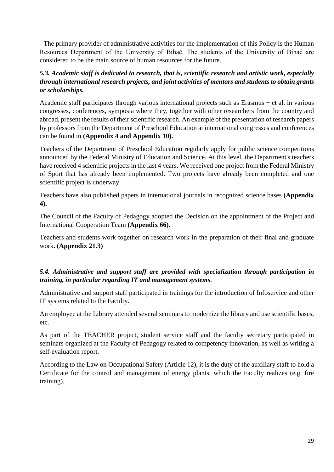- The primary provider of administrative activities for the implementation of this Policy is the Human Resources Department of the University of Bihać. The students of the University of Bihać are considered to be the main source of human resources for the future.

#### *5.3. Academic staff is dedicated to research, that is, scientific research and artistic work, especially through international research projects, and joint activities of mentors and students to obtain grants or scholarships.*

Academic staff participates through various international projects such as Erasmus + et al. in various congresses, conferences, symposia where they, together with other researchers from the country and abroad, present the results of their scientific research. An example of the presentation of research papers by professors from the Department of Preschool Education at international congresses and conferences can be found in **(Appendix 4 and Appendix 10).**

Teachers of the Department of Preschool Education regularly apply for public science competitions announced by the Federal Ministry of Education and Science. At this level, the Department's teachers have received 4 scientific projects in the last 4 years. We received one project from the Federal Ministry of Sport that has already been implemented. Two projects have already been completed and one scientific project is underway.

Teachers have also published papers in international journals in recognized science bases **(Appendix 4).**

The Council of the Faculty of Pedagogy adopted the Decision on the appointment of the Project and International Cooperation Team **(Appendix 66).**

Teachers and students work together on research work in the preparation of their final and graduate work**. (Appendix 21.3)**

## *5.4. Administrative and support staff are provided with specialization through participation in training, in particular regarding IT and management systems*.

Administrative and support staff participated in trainings for the introduction of Infoservice and other IT systems related to the Faculty.

An employee at the Library attended several seminars to modernize the library and use scientific bases, etc.

As part of the TEACHER project, student service staff and the faculty secretary participated in seminars organized at the Faculty of Pedagogy related to competency innovation, as well as writing a self-evaluation report.

According to the Law on Occupational Safety (Article 12), it is the duty of the auxiliary staff to hold a Certificate for the control and management of energy plants, which the Faculty realizes (e.g. fire training).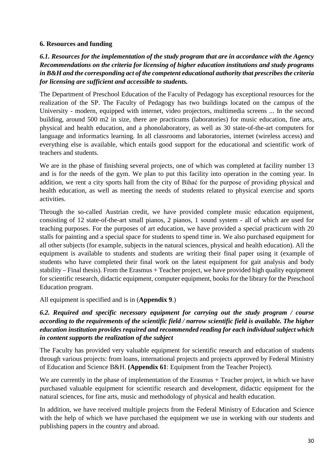#### **6. Resources and funding**

*6.1. Resources for the implementation of the study program that are in accordance with the Agency Recommendations on the criteria for licensing of higher education institutions and study programs in B&H and the corresponding act of the competent educational authority that prescribes the criteria for licensing are sufficient and accessible to students.*

The Department of Preschool Education of the Faculty of Pedagogy has exceptional resources for the realization of the SP. The Faculty of Pedagogy has two buildings located on the campus of the University - modern, equipped with internet, video projectors, multimedia screens ... In the second building, around 500 m2 in size, there are practicums (laboratories) for music education, fine arts, physical and health education, and a phonolaboratory, as well as 30 state-of-the-art computers for language and informatics learning. In all classrooms and laboratories, internet (wireless access) and everything else is available, which entails good support for the educational and scientific work of teachers and students.

We are in the phase of finishing several projects, one of which was completed at facility number 13 and is for the needs of the gym. We plan to put this facility into operation in the coming year. In addition, we rent a city sports hall from the city of Bihać for the purpose of providing physical and health education, as well as meeting the needs of students related to physical exercise and sports activities.

Through the so-called Austrian credit, we have provided complete music education equipment, consisting of 12 state-of-the-art small pianos, 2 pianos, 1 sound system - all of which are used for teaching purposes. For the purposes of art education, we have provided a special practicum with 20 stalls for painting and a special space for students to spend time in. We also purchased equipment for all other subjects (for example, subjects in the natural sciences, physical and health education). All the equipment is available to students and students are writing their final paper using it (example of students who have completed their final work on the latest equipment for gait analysis and body stability – Final thesis). From the Erasmus + Teacher project, we have provided high quality equipment for scientific research, didactic equipment, computer equipment, books for the library for the Preschool Education program.

All equipment is specified and is in (**Appendix 9**.)

## *6.2. Required and specific necessary equipment for carrying out the study program / course according to the requirements of the scientific field / narrow scientific field is available. The higher education institution provides required and recommended reading for each individual subject which in content supports the realization of the subject*

The Faculty has provided very valuable equipment for scientific research and education of students through various projects: from loans, international projects and projects approved by Federal Ministry of Education and Science B&H. **(Appendix 61**: Equipment from the Teacher Project).

We are currently in the phase of implementation of the Erasmus + Teacher project, in which we have purchased valuable equipment for scientific research and development, didactic equipment for the natural sciences, for fine arts, music and methodology of physical and health education.

In addition, we have received multiple projects from the Federal Ministry of Education and Science with the help of which we have purchased the equipment we use in working with our students and publishing papers in the country and abroad.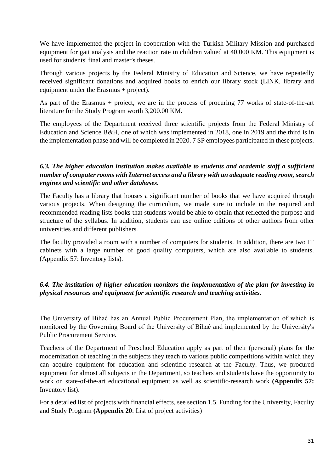We have implemented the project in cooperation with the Turkish Military Mission and purchased equipment for gait analysis and the reaction rate in children valued at 40.000 KM. This equipment is used for students' final and master's theses.

Through various projects by the Federal Ministry of Education and Science, we have repeatedly received significant donations and acquired books to enrich our library stock (LINK, library and equipment under the Erasmus + project).

As part of the Erasmus + project, we are in the process of procuring 77 works of state-of-the-art literature for the Study Program worth 3,200.00 KM.

The employees of the Department received three scientific projects from the Federal Ministry of Education and Science B&H, one of which was implemented in 2018, one in 2019 and the third is in the implementation phase and will be completed in 2020. 7 SP employees participated in these projects.

## *6.3. The higher education institution makes available to students and academic staff a sufficient number of computer rooms with Internet access and a library with an adequate reading room, search engines and scientific and other databases.*

The Faculty has a library that houses a significant number of books that we have acquired through various projects. When designing the curriculum, we made sure to include in the required and recommended reading lists books that students would be able to obtain that reflected the purpose and structure of the syllabus. In addition, students can use online editions of other authors from other universities and different publishers.

The faculty provided a room with a number of computers for students. In addition, there are two IT cabinets with a large number of good quality computers, which are also available to students. (Appendix 57: Inventory lists).

## *6.4. The institution of higher education monitors the implementation of the plan for investing in physical resources and equipment for scientific research and teaching activities.*

The University of Bihać has an Annual Public Procurement Plan, the implementation of which is monitored by the Governing Board of the University of Bihać and implemented by the University's Public Procurement Service.

Teachers of the Department of Preschool Education apply as part of their (personal) plans for the modernization of teaching in the subjects they teach to various public competitions within which they can acquire equipment for education and scientific research at the Faculty. Thus, we procured equipment for almost all subjects in the Department, so teachers and students have the opportunity to work on state-of-the-art educational equipment as well as scientific-research work **(Appendix 57:** Inventory list).

For a detailed list of projects with financial effects, see section 1.5. Funding for the University, Faculty and Study Program **(Appendix 20**: List of project activities)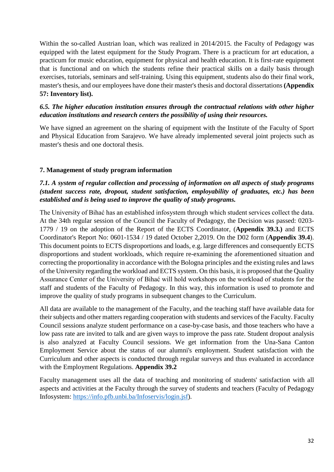Within the so-called Austrian loan, which was realized in 2014/2015. the Faculty of Pedagogy was equipped with the latest equipment for the Study Program. There is a practicum for art education, a practicum for music education, equipment for physical and health education. It is first-rate equipment that is functional and on which the students refine their practical skills on a daily basis through exercises, tutorials, seminars and self-training. Using this equipment, students also do their final work, master's thesis, and our employees have done their master's thesis and doctoral dissertations **(Appendix 57: Inventory list).**

## *6.5. The higher education institution ensures through the contractual relations with other higher education institutions and research centers the possibility of using their resources.*

We have signed an agreement on the sharing of equipment with the Institute of the Faculty of Sport and Physical Education from Sarajevo. We have already implemented several joint projects such as master's thesis and one doctoral thesis.

#### **7. Management of study program information**

## *7.1. A system of regular collection and processing of information on all aspects of study programs (student success rate, dropout, student satisfaction, employability of graduates, etc.) has been established and is being used to improve the quality of study programs.*

The University of Bihać has an established infosystem through which student services collect the data. At the 34th regular session of the Council the Faculty of Pedagogy, the Decision was passed: 0203- 1779 / 19 on the adoption of the Report of the ECTS Coordinator, (**Appendix 39.3.)** and ECTS Coordinator's Report No: 0601-1534 / 19 dated October 2,2019. On the D02 form (**Appendix 39.4**). This document points to ECTS disproportions and loads, e.g. large differences and consequently ECTS disproportions and student workloads, which require re-examining the aforementioned situation and correcting the proportionality in accordance with the Bologna principles and the existing rules and laws of the University regarding the workload and ECTS system. On this basis, it is proposed that the Quality Assurance Center of the University of Bihać will hold workshops on the workload of students for the staff and students of the Faculty of Pedagogy. In this way, this information is used to promote and improve the quality of study programs in subsequent changes to the Curriculum.

All data are available to the management of the Faculty, and the teaching staff have available data for their subjects and other matters regarding cooperation with students and services of the Faculty. Faculty Council sessions analyze student performance on a case-by-case basis, and those teachers who have a low pass rate are invited to talk and are given ways to improve the pass rate. Student dropout analysis is also analyzed at Faculty Council sessions. We get information from the Una-Sana Canton Employment Service about the status of our alumni's employment. Student satisfaction with the Curriculum and other aspects is conducted through regular surveys and thus evaluated in accordance with the Employment Regulations. **Appendix 39.2**

Faculty management uses all the data of teaching and monitoring of students' satisfaction with all aspects and activities at the Faculty through the survey of students and teachers (Faculty of Pedagogy Infosystem: [https://info.pfb.unbi.ba/Infoservis/login.jsf\)](https://info.pfb.unbi.ba/Infoservis/login.jsf).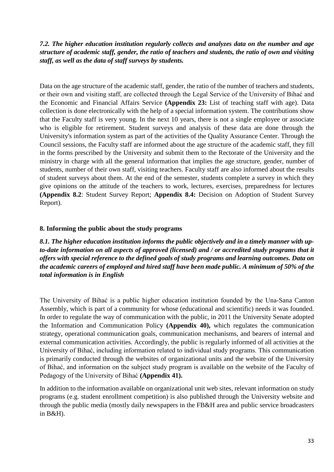## *7.2. The higher education institution regularly collects and analyzes data on the number and age structure of academic staff, gender, the ratio of teachers and students, the ratio of own and visiting staff, as well as the data of staff surveys by students.*

Data on the age structure of the academic staff, gender, the ratio of the number of teachers and students, or their own and visiting staff, are collected through the Legal Service of the University of Bihać and the Economic and Financial Affairs Service **(Appendix 23:** List of teaching staff with age). Data collection is done electronically with the help of a special information system. The contributions show that the Faculty staff is very young. In the next 10 years, there is not a single employee or associate who is eligible for retirement. Student surveys and analysis of these data are done through the University's information system as part of the activities of the Quality Assurance Center. Through the Council sessions, the Faculty staff are informed about the age structure of the academic staff, they fill in the forms prescribed by the University and submit them to the Rectorate of the University and the ministry in charge with all the general information that implies the age structure, gender, number of students, number of their own staff, visiting teachers. Faculty staff are also informed about the results of student surveys about them. At the end of the semester, students complete a survey in which they give opinions on the attitude of the teachers to work, lectures, exercises, preparedness for lectures **(Appendix 8.2**: Student Survey Report; **Appendix 8.4:** Decision on Adoption of Student Survey Report).

#### **8. Informing the public about the study programs**

*8.1. The higher education institution informs the public objectively and in a timely manner with upto-date information on all aspects of approved (licensed) and / or accredited study programs that it offers with special reference to the defined goals of study programs and learning outcomes. Data on the academic careers of employed and hired staff have been made public. A minimum of 50% of the total information is in English*

The University of Bihać is a public higher education institution founded by the Una-Sana Canton Assembly, which is part of a community for whose (educational and scientific) needs it was founded. In order to regulate the way of communication with the public, in 2011 the University Senate adopted the Information and Communication Policy **(Appendix 40),** which regulates the communication strategy, operational communication goals, communication mechanisms, and bearers of internal and external communication activities. Accordingly, the public is regularly informed of all activities at the University of Bihać, including information related to individual study programs. This communication is primarily conducted through the websites of organizational units and the website of the University of Bihać, and information on the subject study program is available on the website of the Faculty of Pedagogy of the University of Bihać **(Appendix 41).**

In addition to the information available on organizational unit web sites, relevant information on study programs (e.g. student enrollment competition) is also published through the University website and through the public media (mostly daily newspapers in the FB&H area and public service broadcasters in B&H).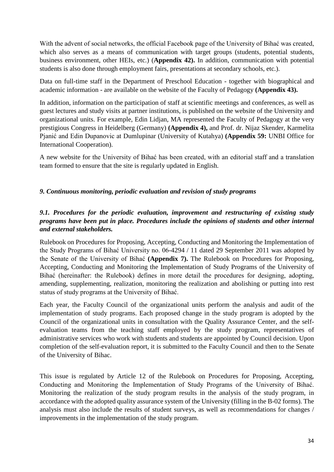With the advent of social networks, the official Facebook page of the University of Bihać was created, which also serves as a means of communication with target groups (students, potential students, business environment, other HEIs, etc.) (**Appendix 42).** In addition, communication with potential students is also done through employment fairs, presentations at secondary schools, etc.).

Data on full-time staff in the Department of Preschool Education - together with biographical and academic information - are available on the website of the Faculty of Pedagogy **(Appendix 43).**

In addition, information on the participation of staff at scientific meetings and conferences, as well as guest lectures and study visits at partner institutions, is published on the website of the University and organizational units. For example, Edin Lidjan, MA represented the Faculty of Pedagogy at the very prestigious Congress in Heidelberg (Germany) **(Appendix 4),** and Prof. dr. Nijaz Skender, Karmelita Pjanić and Edin Dupanovic at Dumlupinar (University of Kutahya) **(Appendix 59:** UNBI Office for International Cooperation).

A new website for the University of Bihać has been created, with an editorial staff and a translation team formed to ensure that the site is regularly updated in English.

#### *9. Continuous monitoring, periodic evaluation and revision of study programs*

## *9.1. Procedures for the periodic evaluation, improvement and restructuring of existing study programs have been put in place. Procedures include the opinions of students and other internal and external stakeholders.*

Rulebook on Procedures for Proposing, Accepting, Conducting and Monitoring the Implementation of the Study Programs of Bihać University no. 06-4294 / 11 dated 29 September 2011 was adopted by the Senate of the University of Bihać **(Appendix 7).** The Rulebook on Procedures for Proposing, Accepting, Conducting and Monitoring the Implementation of Study Programs of the University of Bihać (hereinafter: the Rulebook) defines in more detail the procedures for designing, adopting, amending, supplementing, realization, monitoring the realization and abolishing or putting into rest status of study programs at the University of Bihać.

Each year, the Faculty Council of the organizational units perform the analysis and audit of the implementation of study programs. Each proposed change in the study program is adopted by the Council of the organizational units in consultation with the Quality Assurance Center, and the selfevaluation teams from the teaching staff employed by the study program, representatives of administrative services who work with students and students are appointed by Council decision. Upon completion of the self-evaluation report, it is submitted to the Faculty Council and then to the Senate of the University of Bihac.

This issue is regulated by Article 12 of the Rulebook on Procedures for Proposing, Accepting, Conducting and Monitoring the Implementation of Study Programs of the University of Bihać. Monitoring the realization of the study program results in the analysis of the study program, in accordance with the adopted quality assurance system of the University (filling in the B-02 forms). The analysis must also include the results of student surveys, as well as recommendations for changes / improvements in the implementation of the study program.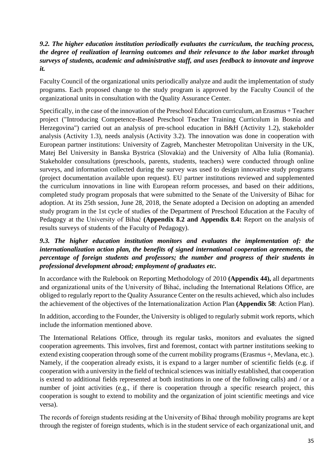## *9.2. The higher education institution periodically evaluates the curriculum, the teaching process, the degree of realization of learning outcomes and their relevance to the labor market through surveys of students, academic and administrative staff, and uses feedback to innovate and improve it.*

Faculty Council of the organizational units periodically analyze and audit the implementation of study programs. Each proposed change to the study program is approved by the Faculty Council of the organizational units in consultation with the Quality Assurance Center.

Specifically, in the case of the innovation of the Preschool Education curriculum, an Erasmus + Teacher project ("Introducing Competence-Based Preschool Teacher Training Curriculum in Bosnia and Herzegovina") carried out an analysis of pre-school education in B&H (Activity 1.2), stakeholder analysis (Activity 1.3), needs analysis (Activity 3.2). The innovation was done in cooperation with European partner institutions: University of Zagreb, Manchester Metropolitan University in the UK, Matej Bel University in Banska Bystrica (Slovakia) and the University of Alba Iulia (Romania). Stakeholder consultations (preschools, parents, students, teachers) were conducted through online surveys, and information collected during the survey was used to design innovative study programs (project documentation available upon request). EU partner institutions reviewed and supplemented the curriculum innovations in line with European reform processes, and based on their additions, completed study program proposals that were submitted to the Senate of the University of Bihac for adoption. At its 25th session, June 28, 2018, the Senate adopted a Decision on adopting an amended study program in the 1st cycle of studies of the Department of Preschool Education at the Faculty of Pedagogy at the University of Bihać **(Appendix 8.2 and Appendix 8.4:** Report on the analysis of results surveys of students of the Faculty of Pedagogy).

## *9.3. The higher education institution monitors and evaluates the implementation of: the internationalization action plan, the benefits of signed international cooperation agreements, the percentage of foreign students and professors; the number and progress of their students in professional development abroad; employment of graduates etc.*

In accordance with the Rulebook on Reporting Methodology of 2010 **(Appendix 44),** all departments and organizational units of the University of Bihać, including the International Relations Office, are obliged to regularly report to the Quality Assurance Center on the results achieved, which also includes the achievement of the objectives of the Internationalization Action Plan **(Appendix 58**: Action Plan).

In addition, according to the Founder, the University is obliged to regularly submit work reports, which include the information mentioned above.

The International Relations Office, through its regular tasks, monitors and evaluates the signed cooperation agreements. This involves, first and foremost, contact with partner institutions seeking to extend existing cooperation through some of the current mobility programs (Erasmus +, Mevlana, etc.). Namely, if the cooperation already exists, it is expand to a larger number of scientific fields (e.g. if cooperation with a university in the field of technical sciences was initially established, that cooperation is extend to additional fields represented at both institutions in one of the following calls) and / or a number of joint activities (e.g., if there is cooperation through a specific research project, this cooperation is sought to extend to mobility and the organization of joint scientific meetings and vice versa).

The records of foreign students residing at the University of Bihać through mobility programs are kept through the register of foreign students, which is in the student service of each organizational unit, and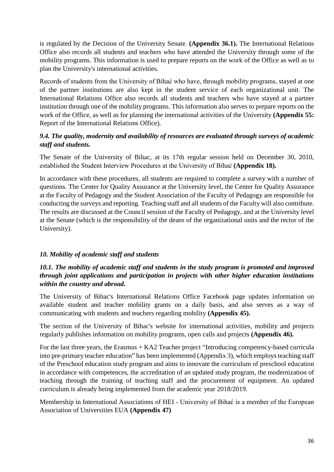is regulated by the Decision of the University Senate. **(Appendix 36.1).** The International Relations Office also records all students and teachers who have attended the University through some of the mobility programs. This information is used to prepare reports on the work of the Office as well as to plan the University's international activities.

Records of students from the University of Bihać who have, through mobility programs, stayed at one of the partner institutions are also kept in the student service of each organizational unit. The International Relations Office also records all students and teachers who have stayed at a partner institution through one of the mobility programs. This information also serves to prepare reports on the work of the Office, as well as for planning the international activities of the University **(Appendix 55:** Report of the International Relations Office).

#### *9.4. The quality, modernity and availability of resources are evaluated through surveys of academic staff and students.*

The Senate of the University of Bihac, at its 17th regular session held on December 30, 2010, established the Student Interview Procedures at the University of Bihać **(Appendix 18).**

In accordance with these procedures, all students are required to complete a survey with a number of questions. The Center for Quality Assurance at the University level, the Center for Quality Assurance at the Faculty of Pedagogy and the Student Association of the Faculty of Pedagogy are responsible for conducting the surveys and reporting. Teaching staff and all students of the Faculty will also contribute. The results are discussed at the Council session of the Faculty of Pedagogy, and at the University level at the Senate (which is the responsibility of the deans of the organizational units and the rector of the University).

## *10. Mobility of academic staff and students*

## *10.1. The mobility of academic staff and students in the study program is promoted and improved through joint applications and participation in projects with other higher education institutions within the country and abroad.*

The University of Bihac's International Relations Office Facebook page updates information on available student and teacher mobility grants on a daily basis, and also serves as a way of communicating with students and teachers regarding mobility **(Appendix 45).**

The section of the University of Bihac's website for international activities, mobility and projects regularly publishes information on mobility programs, open calls and projects **(Appendix 46).**

For the last three years, the Erasmus + KA2 Teacher project "Introducing competency-based curricula into pre-primary teacher education" has been implemented (Appendix 3), which employs teaching staff of the Preschool education study program and aims to innovate the curriculum of preschool education in accordance with competences, the accreditation of an updated study program, the modernization of teaching through the training of teaching staff and the procurement of equipment. An updated curriculum is already being implemented from the academic year 2018/2019.

Membership in International Associations of HEI - University of Bihać is a member of the European Association of Universities EUA **(Appendix 47)**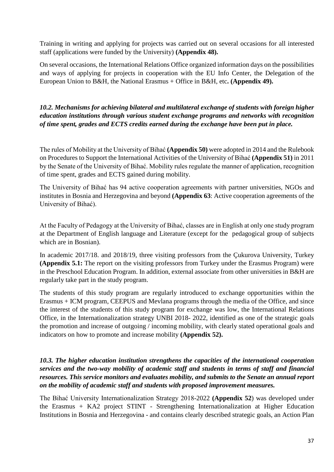Training in writing and applying for projects was carried out on several occasions for all interested staff (applications were funded by the University) **(Appendix 48).**

On several occasions, the International Relations Office organized information days on the possibilities and ways of applying for projects in cooperation with the EU Info Center, the Delegation of the European Union to B&H, the National Erasmus + Office in B&H, etc**. (Appendix 49).**

*10.2. Mechanisms for achieving bilateral and multilateral exchange of students with foreign higher education institutions through various student exchange programs and networks with recognition of time spent, grades and ECTS credits earned during the exchange have been put in place.*

The rules of Mobility at the University of Bihać **(Appendix 50)** were adopted in 2014 and the Rulebook on Procedures to Support the International Activities of the University of Bihać **(Appendix 51)** in 2011 by the Senate of the University of Bihać. Mobility rules regulate the manner of application, recognition of time spent, grades and ECTS gained during mobility.

The University of Bihać has 94 active cooperation agreements with partner universities, NGOs and institutes in Bosnia and Herzegovina and beyond **(Appendix 63**: Active cooperation agreements of the University of Bihać).

At the Faculty of Pedagogy at the University of Bihać, classes are in English at only one study program at the Department of English language and Literature (except for the pedagogical group of subjects which are in Bosnian).

In academic 2017/18. and 2018/19, three visiting professors from the Çukurova University, Turkey **(Appendix 5.1:** The report on the visiting professors from Turkey under the Erasmus Program) were in the Preschool Education Program. In addition, external associate from other universities in B&H are regularly take part in the study program.

The students of this study program are regularly introduced to exchange opportunities within the Erasmus + ICM program, CEEPUS and Mevlana programs through the media of the Office, and since the interest of the students of this study program for exchange was low, the International Relations Office, in the Internationalization strategy UNBI 2018- 2022, identified as one of the strategic goals the promotion and increase of outgoing / incoming mobility, with clearly stated operational goals and indicators on how to promote and increase mobility **(Appendix 52).**

#### *10.3. The higher education institution strengthens the capacities of the international cooperation services and the two-way mobility of academic staff and students in terms of staff and financial resources. This service monitors and evaluates mobility, and submits to the Senate an annual report on the mobility of academic staff and students with proposed improvement measures.*

The Bihać University Internationalization Strategy 2018-2022 **(Appendix 52**) was developed under the Erasmus + KA2 project STINT - Strengthening Internationalization at Higher Education Institutions in Bosnia and Herzegovina - and contains clearly described strategic goals, an Action Plan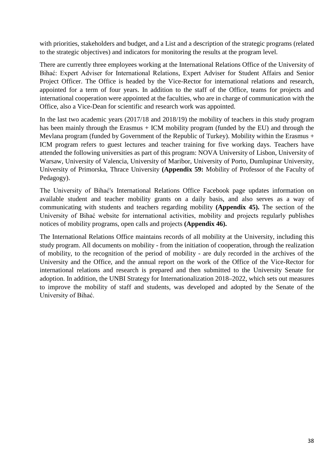with priorities, stakeholders and budget, and a List and a description of the strategic programs (related to the strategic objectives) and indicators for monitoring the results at the program level.

There are currently three employees working at the International Relations Office of the University of Bihać: Expert Adviser for International Relations, Expert Adviser for Student Affairs and Senior Project Officer. The Office is headed by the Vice-Rector for international relations and research, appointed for a term of four years. In addition to the staff of the Office, teams for projects and international cooperation were appointed at the faculties, who are in charge of communication with the Office, also a Vice-Dean for scientific and research work was appointed.

In the last two academic years (2017/18 and 2018/19) the mobility of teachers in this study program has been mainly through the Erasmus + ICM mobility program (funded by the EU) and through the Mevlana program (funded by Government of the Republic of Turkey). Mobility within the Erasmus + ICM program refers to guest lectures and teacher training for five working days. Teachers have attended the following universities as part of this program: NOVA University of Lisbon, University of Warsaw, University of Valencia, University of Maribor, University of Porto, Dumlupinar University, University of Primorska, Thrace University **(Appendix 59:** Mobility of Professor of the Faculty of Pedagogy).

The University of Bihać's International Relations Office Facebook page updates information on available student and teacher mobility grants on a daily basis, and also serves as a way of communicating with students and teachers regarding mobility **(Appendix 45).** The section of the University of Bihać website for international activities, mobility and projects regularly publishes notices of mobility programs, open calls and projects **(Appendix 46).**

The International Relations Office maintains records of all mobility at the University, including this study program. All documents on mobility - from the initiation of cooperation, through the realization of mobility, to the recognition of the period of mobility - are duly recorded in the archives of the University and the Office, and the annual report on the work of the Office of the Vice-Rector for international relations and research is prepared and then submitted to the University Senate for adoption. In addition, the UNBI Strategy for Internationalization 2018–2022, which sets out measures to improve the mobility of staff and students, was developed and adopted by the Senate of the University of Bihać.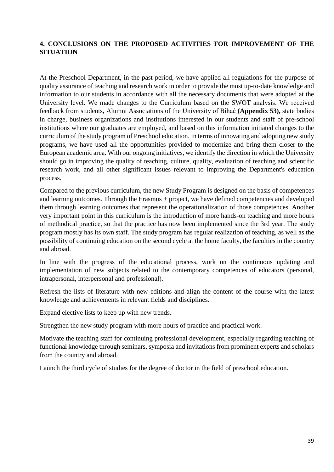## **4. CONCLUSIONS ON THE PROPOSED ACTIVITIES FOR IMPROVEMENT OF THE SITUATION**

At the Preschool Department, in the past period, we have applied all regulations for the purpose of quality assurance of teaching and research work in order to provide the most up-to-date knowledge and information to our students in accordance with all the necessary documents that were adopted at the University level. We made changes to the Curriculum based on the SWOT analysis. We received feedback from students, Alumni Associations of the University of Bihać **(Appendix 53),** state bodies in charge, business organizations and institutions interested in our students and staff of pre-school institutions where our graduates are employed, and based on this information initiated changes to the curriculum of the study program of Preschool education. In terms of innovating and adopting new study programs, we have used all the opportunities provided to modernize and bring them closer to the European academic area. With our ongoing initiatives, we identify the direction in which the University should go in improving the quality of teaching, culture, quality, evaluation of teaching and scientific research work, and all other significant issues relevant to improving the Department's education process.

Compared to the previous curriculum, the new Study Program is designed on the basis of competences and learning outcomes. Through the Erasmus + project, we have defined competencies and developed them through learning outcomes that represent the operationalization of those competences. Another very important point in this curriculum is the introduction of more hands-on teaching and more hours of methodical practice, so that the practice has now been implemented since the 3rd year. The study program mostly has its own staff. The study program has regular realization of teaching, as well as the possibility of continuing education on the second cycle at the home faculty, the faculties in the country and abroad.

In line with the progress of the educational process, work on the continuous updating and implementation of new subjects related to the contemporary competences of educators (personal, intrapersonal, interpersonal and professional).

Refresh the lists of literature with new editions and align the content of the course with the latest knowledge and achievements in relevant fields and disciplines.

Expand elective lists to keep up with new trends.

Strengthen the new study program with more hours of practice and practical work.

Motivate the teaching staff for continuing professional development, especially regarding teaching of functional knowledge through seminars, symposia and invitations from prominent experts and scholars from the country and abroad.

Launch the third cycle of studies for the degree of doctor in the field of preschool education.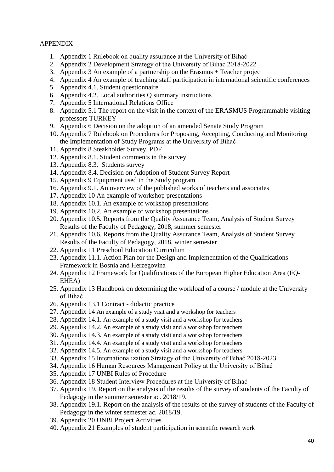#### APPENDIX

- 1. Appendix 1 Rulebook on quality assurance at the University of Bihać
- 2. Appendix 2 Development Strategy of the University of Bihać 2018-2022
- 3. Appendix 3 An example of a partnership on the Erasmus + Teacher project
- 4. Appendix 4 An example of teaching staff participation in international scientific conferences
- 5. Appendix 4.1. Student questionnaire
- 6. Appendix 4.2. Local authorities Q summary instructions
- 7. Appendix 5 International Relations Office
- 8. Appendix 5.1 The report on the visit in the context of the ERASMUS Programmable visiting professors TURKEY
- 9. Appendix 6 Decision on the adoption of an amended Senate Study Program
- 10. Appendix 7 Rulebook on Procedures for Proposing, Accepting, Conducting and Monitoring the Implementation of Study Programs at the University of Bihać
- 11. Appendix 8 Steakholder Survey, PDF
- 12. Appendix 8.1. Student comments in the survey
- 13. Appendix 8.3. Students survey
- 14. Appendix 8.4. Decision on Adoption of Student Survey Report
- 15. Appendix 9 Equipment used in the Study program
- 16. Appendix 9.1. An overview of the published works of teachers and associates
- 17. Appendix 10 An example of workshop presentations
- 18. Appendix 10.1. An example of workshop presentations
- 19. Appendix 10.2. An example of workshop presentations
- 20. Appendix 10.5. Reports from the Quality Assurance Team, Analysis of Student Survey Results of the Faculty of Pedagogy, 2018, summer semester
- 21. Appendix 10.6. Reports from the Quality Assurance Team, Analysis of Student Survey Results of the Faculty of Pedagogy, 2018, winter semester
- 22. Appendix 11 Preschool Education Curriculum
- 23. Appendix 11.1. Action Plan for the Design and Implementation of the Qualifications Framework in Bosnia and Herzegovina
- *24.* Appendix 12 Framework for Qualifications of the European Higher Education Area (FQ-EHEA)
- 25. Appendix 13 Handbook on determining the workload of a course / module at the University of Bihać
- 26. Appendix 13.1 Contract didactic practice
- 27. Appendix 14 An example of a study visit and a workshop for teachers
- 28. Appendix 14.1. An example of a study visit and a workshop for teachers
- 29. Appendix 14.2. An example of a study visit and a workshop for teachers
- 30. Appendix 14.3. An example of a study visit and a workshop for teachers
- 31. Appendix 14.4. An example of a study visit and a workshop for teachers
- 32. Appendix 14.5. An example of a study visit and a workshop for teachers
- 33. Appendix 15 Internationalization Strategy of the University of Bihać 2018-2023
- 34. Appendix 16 Human Resources Management Policy at the University of Bihać
- 35. Appendix 17 UNBI Rules of Procedure
- 36. Appendix 18 Student Interview Procedures at the University of Bihać
- 37. Appendix 19. Report on the analysis of the results of the survey of students of the Faculty of Pedagogy in the summer semester ac. 2018/19.
- 38. Appendix 19.1. Report on the analysis of the results of the survey of students of the Faculty of Pedagogy in the winter semester ac. 2018/19.
- 39. Appendix 20 UNBI Project Activities
- 40. Appendix 21 Examples of student participation in scientific research work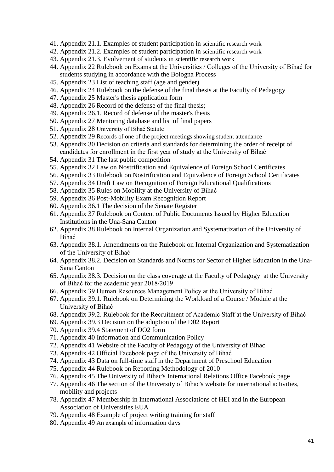- 41. Appendix 21.1. Examples of student participation in scientific research work
- 42. Appendix 21.2. Examples of student participation in scientific research work
- 43. Appendix 21.3. Evolvement of students in scientific research work
- 44. Appendix 22 Rulebook on Exams at the Universities / Colleges of the University of Bihać for students studying in accordance with the Bologna Process
- 45. Appendix 23 List of teaching staff (age and gender)
- 46. Appendix 24 Rulebook on the defense of the final thesis at the Faculty of Pedagogy
- 47. Appendix 25 Master's thesis application form
- 48. Appendix 26 Record of the defense of the final thesis;
- 49. Appendix 26.1. Record of defense of the master's thesis
- 50. Appendix 27 Mentoring database and list of final papers
- 51. Appendix 28 University of Bihać Statute
- 52. Appendix 29 Records of one of the project meetings showing student attendance
- 53. Appendix 30 Decision on criteria and standards for determining the order of receipt of candidates for enrollment in the first year of study at the University of Bihać
- 54. Appendix 31 The last public competition
- 55. Appendix 32 Law on Nostrification and Equivalence of Foreign School Certificates
- 56. Appendix 33 Rulebook on Nostrification and Equivalence of Foreign School Certificates
- 57. Appendix 34 Draft Law on Recognition of Foreign Educational Qualifications
- 58. Appendix 35 Rules on Mobility at the University of Bihać
- 59. Appendix 36 Post-Mobility Exam Recognition Report
- 60. Appendix 36.1 The decision of the Senate Register
- 61. Appendix 37 Rulebook on Content of Public Documents Issued by Higher Education Institutions in the Una-Sana Canton
- 62. Appendix 38 Rulebook on Internal Organization and Systematization of the University of Bihać
- 63. Appendix 38.1. Amendments on the Rulebook on Internal Organization and Systematization of the University of Bihać
- 64. Appendix 38.2. Decision on Standards and Norms for Sector of Higher Education in the Una-Sana Canton
- 65. Appendix 38.3. Decision on the class coverage at the Faculty of Pedagogy at the University of Bihać for the academic year 2018/2019
- 66. Appendix 39 Human Resources Management Policy at the University of Bihać
- 67. Appendix 39.1. Rulebook on Determining the Workload of a Course / Module at the University of Bihać
- 68. Appendix 39.2. Rulebook for the Recruitment of Academic Staff at the University of Bihać
- 69. Appendix 39.3 Decision on the adoption of the D02 Report
- 70. Appendix 39.4 Statement of DO2 form
- 71. Appendix 40 Information and Communication Policy
- 72. Appendix 41 Website of the Faculty of Pedagogy of the University of Bihac
- 73. Appendix 42 Official Facebook page of the University of Bihać
- 74. Appendix 43 Data on full-time staff in the Department of Preschool Education
- 75. Appendix 44 Rulebook on Reporting Methodology of 2010
- 76. Appendix 45 The University of Bihac's International Relations Office Facebook page
- 77. Appendix 46 The section of the University of Bihac's website for international activities, mobility and projects
- 78. Appendix 47 Membership in International Associations of HEI and in the European Association of Universities EUA
- 79. Appendix 48 Example of project writing training for staff
- 80. Appendix 49 An example of information days